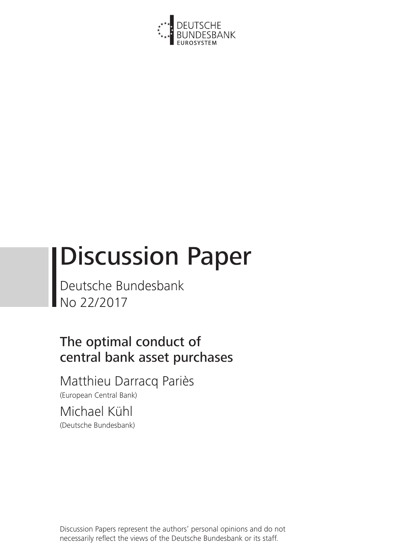

# Discussion Paper

Deutsche Bundesbank No 22/2017

# The optimal conduct of central bank asset purchases

Matthieu Darracq Pariès (European Central Bank)

Michael Kühl (Deutsche Bundesbank)

Discussion Papers represent the authors' personal opinions and do not necessarily reflect the views of the Deutsche Bundesbank or its staff.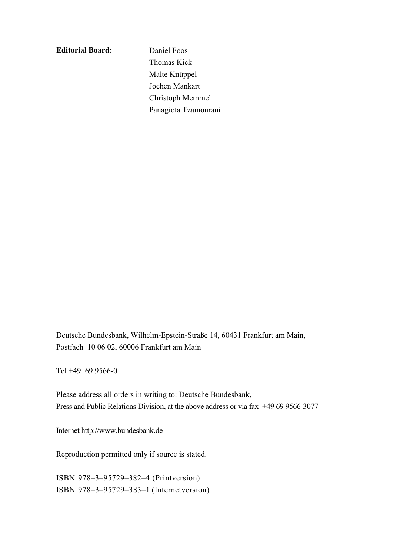**Editorial Board:**

 Daniel Foos Thomas Kick Malte Knüppel Jochen Mankart Christoph Memmel Panagiota Tzamourani

Deutsche Bundesbank, Wilhelm-Epstein-Straße 14, 60431 Frankfurt am Main, Postfach 10 06 02, 60006 Frankfurt am Main

Tel +49 69 9566-0

Please address all orders in writing to: Deutsche Bundesbank, Press and Public Relations Division, at the above address or via fax +49 69 9566-3077

Internet http://www.bundesbank.de

Reproduction permitted only if source is stated.

ISBN 978–3–95729–382–4 (Printversion) ISBN 978–3–95729–383–1 (Internetversion)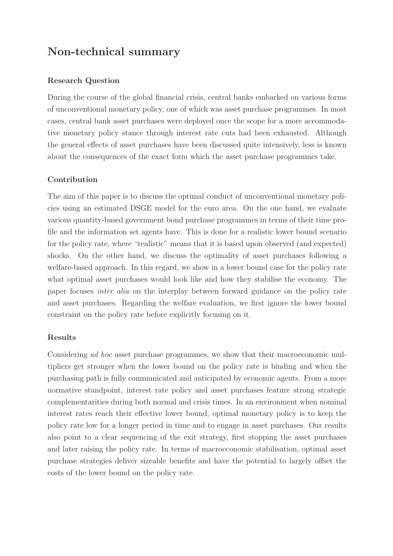# **Non-technical summary**

# **Research Question**

During the course of the global financial crisis, central banks embarked on various forms of unconventional monetary policy, one of which was asset purchase programmes. In most cases, central bank asset purchases were deployed once the scope for a more accommodative monetary policy stance through interest rate cuts had been exhausted. Although the general effects of asset purchases have been discussed quite intensively, less is known about the consequences of the exact form which the asset purchase programmes take.

The aim of this paper is to discuss the optimal conduct of unconventional monetary policies using an estimated DSGE model for the euro area. On the one hand, we evaluate various quantity-based government bond purchase programmes in terms of their time profile and the information set agents have. This is done for a realistic lower bound scenario for the policy rate, where "realistic" means that it is based upon observed (and expected) shocks. On the other hand, we discuss the optimality of asset purchases following a welfare-based approach. In this regard, we show in a lower bound case for the policy rate what optimal asset purchases would look like and how they stabilise the economy. The paper focuses inter alia on the interplay between forward guidance on the policy rate and asset purchases. Regarding the welfare evaluation, we first ignore the lower bound constraint on the policy rate before explicitly focusing on it.

# Results

Considering ad hoc asset purchase programmes, we show that their macroeconomic multipliers get stronger when the lower bound on the policy rate is binding and when the purchasing path is fully communicated and anticipated by economic agents. From a more normative standpoint, interest rate policy and asset purchases feature strong strategic complementarities during both normal and crisis times. In an environment when nominal interest rates reach their effective lower bound, optimal monetary policy is to keep the policy rate low for a longer period in time and to engage in asset purchases. Our results also point to a clear sequencing of the exit strategy, first stopping the asset purchases and later raising the policy rate. In terms of macroeconomic stabilisation, optimal asset purchase strategies deliver sizeable benefits and have the potential to largely offset the costs of the lower bound on the policy rate.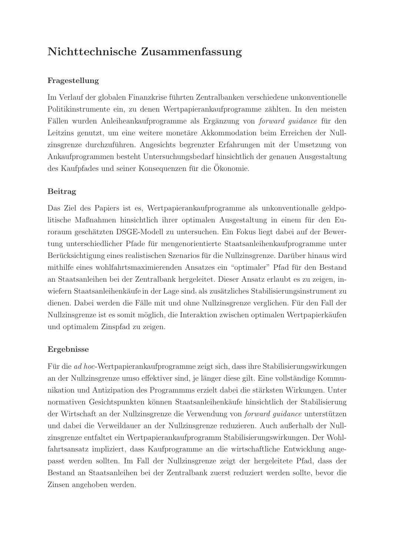# **Nichttechnische Zusammenfassung**

# **Fragestellung**

Im Verlauf der globalen Finanzkrise führten Zentralbanken verschiedene unkonventionelle Politikinstrumente ein, zu denen Wertpapierankaufprogramme zählten. In den meisten Fällen wurden Anleiheankaufprogramme als Ergänzung von *forward quidance* für den Leitzins genutzt, um eine weitere monetäre Akkommodation beim Erreichen der Nullzinsgrenze durchzuführen. Angesichts begrenzter Erfahrungen mit der Umsetzung von Ankaufprogrammen besteht Untersuchungsbedarf hinsichtlich der genauen Ausgestaltung des Kaufpfades und seiner Konsequenzen für die Ökonomie.

# **Beitrag**

Das Ziel des Papiers ist es, Wertpapierankaufprogramme als unkonventionalle geldpolitische Maßnahmen hinsichtlich ihrer optimalen Ausgestaltung in einem für den Euroraum geschätzten DSGE-Modell zu untersuchen. Ein Fokus liegt dabei auf der Bewertung unterschiedlicher Pfade fur mengenorientierte Staatsanleihenkaufprogramme unter ¨ Berücksichtigung eines realistischen Szenarios für die Nullzinsgrenze. Darüber hinaus wird mithilfe eines wohlfahrtsmaximierenden Ansatzes ein "optimaler" Pfad für den Bestand an Staatsanleihen bei der Zentralbank hergeleitet. Dieser Ansatz erlaubt es zu zeigen, inwiefern Staatsanleihenkäufe in der Lage sind, als zusätzliches Stabilisierungsinstrument zu dienen. Dabei werden die Fälle mit und ohne Nullzinsgrenze verglichen. Für den Fall der Nullzinsgrenze ist es somit möglich, die Interaktion zwischen optimalen Wertpapierkäufen und optimalem Zinspfad zu zeigen.

# **Ergebnisse**

Für die ad hoc-Wertpapierankaufprogramme zeigt sich, dass ihre Stabilisierungswirkungen an der Nullzinsgrenze umso effektiver sind, je länger diese gilt. Eine vollständige Kommunikation und Antizipation des Programmms erzielt dabei die stärksten Wirkungen. Unter normativen Gesichtspunkten können Staatsanleihenkäufe hinsichtlich der Stabilisierung der Wirtschaft an der Nullzinsgrenze die Verwendung von *forward quidance* unterstützen und dabei die Verweildauer an der Nullzinsgrenze reduzieren. Auch außerhalb der Nullzinsgrenze entfaltet ein Wertpapierankaufprogramm Stabilisierungswirkungen. Der Wohlfahrtsansatz impliziert, dass Kaufprogramme an die wirtschaftliche Entwicklung angepasst werden sollten. Im Fall der Nullzinsgrenze zeigt der hergeleitete Pfad, dass der Bestand an Staatsanleihen bei der Zentralbank zuerst reduziert werden sollte, bevor die Zinsen angehoben werden.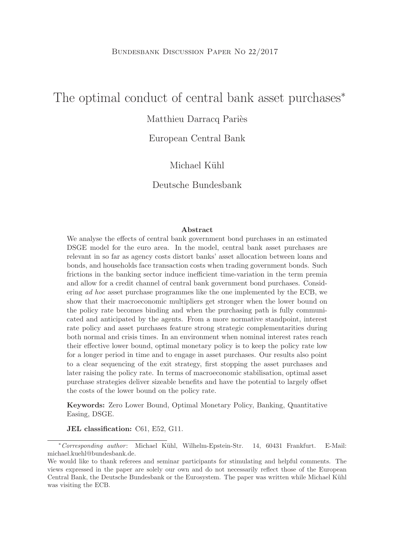# The optimal conduct of central bank asset purchases<sup>\*</sup>

# Matthieu Darracq Pariès

European Central Bank

# Michael Kühl

Deutsche Bundesbank

#### **Abstract**

We analyse the effects of central bank government bond purchases in an estimated DSGE model for the euro area. In the model, central bank asset purchases are relevant in so far as agency costs distort banks' asset allocation between loans and bonds, and households face transaction costs when trading government bonds. Such frictions in the banking sector induce inefficient time-variation in the term premia and allow for a credit channel of central bank government bond purchases. Considering ad hoc asset purchase programmes like the one implemented by the ECB, we show that their macroeconomic multipliers get stronger when the lower bound on the policy rate becomes binding and when the purchasing path is fully communicated and anticipated by the agents. From a more normative standpoint, interest rate policy and asset purchases feature strong strategic complementarities during both normal and crisis times. In an environment when nominal interest rates reach their effective lower bound, optimal monetary policy is to keep the policy rate low for a longer period in time and to engage in asset purchases. Our results also point to a clear sequencing of the exit strategy, first stopping the asset purchases and later raising the policy rate. In terms of macroeconomic stabilisation, optimal asset purchase strategies deliver sizeable benefits and have the potential to largely offset the costs of the lower bound on the policy rate.

**Keywords:** Zero Lower Bound, Optimal Monetary Policy, Banking, Quantitative Easing, DSGE.

**JEL classification:** C61, E52, G11.

<sup>∗</sup>Corresponding author : Michael K¨uhl, Wilhelm-Epstein-Str. 14, 60431 Frankfurt. E-Mail: michael.kuehl@bundesbank.de.

We would like to thank referees and seminar participants for stimulating and helpful comments. The views expressed in the paper are solely our own and do not necessarily reflect those of the European Central Bank, the Deutsche Bundesbank or the Eurosystem. The paper was written while Michael Kühl was visiting the ECB.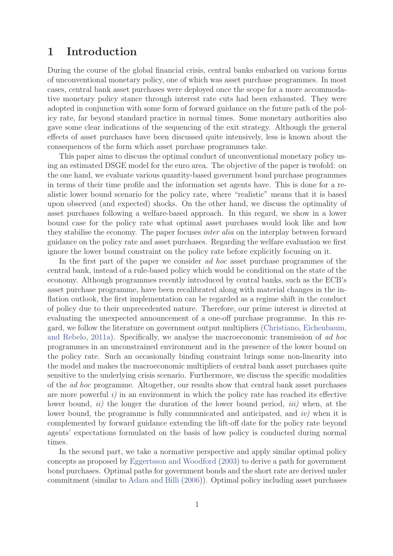# **1 Introduction**

During the course of the global financial crisis, central banks embarked on various forms of unconventional monetary policy, one of which was asset purchase programmes. In most cases, central bank asset purchases were deployed once the scope for a more accommodative monetary policy stance through interest rate cuts had been exhausted. They were adopted in conjunction with some form of forward guidance on the future path of the policy rate, far beyond standard practice in normal times. Some monetary authorities also gave some clear indications of the sequencing of the exit strategy. Although the general effects of asset purchases have been discussed quite intensively, less is known about the consequences of the form which asset purchase programmes take.

This paper aims to discuss the optimal conduct of unconventional monetary policy using an estimated DSGE model for the euro area. The objective of the paper is twofold: on the one hand, we evaluate various quantity-based government bond purchase programmes in terms of their time profile and the information set agents have. This is done for a realistic lower bound scenario for the policy rate, where "realistic" means that it is based upon observed (and expected) shocks. On the other hand, we discuss the optimality of asset purchases following a welfare-based approach. In this regard, we show in a lower bound case for the policy rate what optimal asset purchases would look like and how they stabilise the economy. The paper focuses inter alia on the interplay between forward guidance on the policy rate and asset purchases. Regarding the welfare evaluation we first ignore the lower bound constraint on the policy rate before explicitly focusing on it.

In the first part of the paper we consider ad hoc asset purchase programmes of the central bank, instead of a rule-based policy which would be conditional on the state of the economy. Although programmes recently introduced by central banks, such as the ECB's asset purchase programme, have been recalibrated along with material changes in the inflation outlook, the first implementation can be regarded as a regime shift in the conduct of policy due to their unprecedented nature. Therefore, our prime interest is directed at evaluating the unexpected announcement of a one-off purchase programme. In this regard, we follow the literature on government output multipliers (Christiano, Eichenbaum, and Rebelo, 2011a). Specifically, we analyse the macroeconomic transmission of ad hoc programmes in an unconstrained environment and in the presence of the lower bound on the policy rate. Such an occasionally binding constraint brings some non-linearity into the model and makes the macroeconomic multipliers of central bank asset purchases quite sensitive to the underlying crisis scenario. Furthermore, we discuss the specific modalities of the ad hoc programme. Altogether, our results show that central bank asset purchases are more powerful  $i$ ) in an environment in which the policy rate has reached its effective lower bound,  $ii)$  the longer the duration of the lower bound period,  $iii)$  when, at the lower bound, the programme is fully communicated and anticipated, and *iv*) when it is complemented by forward guidance extending the lift-off date for the policy rate beyond agents' expectations formulated on the basis of how policy is conducted during normal times.

In the second part, we take a normative perspective and apply similar optimal policy concepts as proposed by Eggertsson and Woodford (2003) to derive a path for government bond purchases. Optimal paths for government bonds and the short rate are derived under commitment (similar to Adam and Billi (2006)). Optimal policy including asset purchases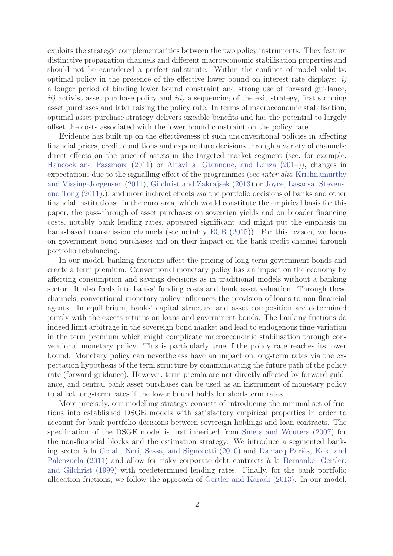exploits the strategic complementarities between the two policy instruments. They feature distinctive propagation channels and different macroeconomic stabilisation properties and should not be considered a perfect substitute. Within the confines of model validity, optimal policy in the presence of the effective lower bound on interest rate displays:  $i$ ) a longer period of binding lower bound constraint and strong use of forward guidance,  $ii)$  activist asset purchase policy and  $iii)$  a sequencing of the exit strategy, first stopping asset purchases and later raising the policy rate. In terms of macroeconomic stabilisation, optimal asset purchase strategy delivers sizeable benefits and has the potential to largely offset the costs associated with the lower bound constraint on the policy rate.

Evidence has built up on the effectiveness of such unconventional policies in affecting financial prices, credit conditions and expenditure decisions through a variety of channels: direct effects on the price of assets in the targeted market segment (see, for example, Hancock and Passmore (2011) or Altavilla, Giannone, and Lenza (2014)), changes in expectations due to the signalling effect of the programmes (see inter alia Krishnamurthy and Vissing-Jorgensen (2011), Gilchrist and Zakrajšek (2013) or Joyce, Lasaosa, Stevens, and Tong (2011).), and more indirect effects via the portfolio decisions of banks and other financial institutions. In the euro area, which would constitute the empirical basis for this paper, the pass-through of asset purchases on sovereign yields and on broader financing costs, notably bank lending rates, appeared significant and might put the emphasis on bank-based transmission channels (see notably ECB (2015)). For this reason, we focus on government bond purchases and on their impact on the bank credit channel through portfolio rebalancing.

In our model, banking frictions affect the pricing of long-term government bonds and create a term premium. Conventional monetary policy has an impact on the economy by affecting consumption and savings decisions as in traditional models without a banking sector. It also feeds into banks' funding costs and bank asset valuation. Through these channels, conventional monetary policy influences the provision of loans to non-financial agents. In equilibrium, banks' capital structure and asset composition are determined jointly with the excess returns on loans and government bonds. The banking frictions do indeed limit arbitrage in the sovereign bond market and lead to endogenous time-variation in the term premium which might complicate macroeconomic stabilisation through conventional monetary policy. This is particularly true if the policy rate reaches its lower bound. Monetary policy can nevertheless have an impact on long-term rates via the expectation hypothesis of the term structure by communicating the future path of the policy rate (forward guidance). However, term premia are not directly affected by forward guidance, and central bank asset purchases can be used as an instrument of monetary policy to affect long-term rates if the lower bound holds for short-term rates.

More precisely, our modelling strategy consists of introducing the minimal set of frictions into established DSGE models with satisfactory empirical properties in order to account for bank portfolio decisions between sovereign holdings and loan contracts. The specification of the DSGE model is first inherited from Smets and Wouters (2007) for the non-financial blocks and the estimation strategy. We introduce a segmented banking sector à la Gerali, Neri, Sessa, and Signoretti (2010) and Darracq Pariès, Kok, and Palenzuela (2011) and allow for risky corporate debt contracts à la Bernanke, Gertler, and Gilchrist (1999) with predetermined lending rates. Finally, for the bank portfolio allocation frictions, we follow the approach of Gertler and Karadi (2013). In our model,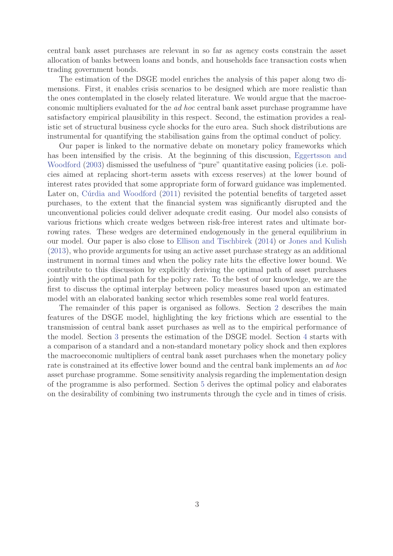central bank asset purchases are relevant in so far as agency costs constrain the asset allocation of banks between loans and bonds, and households face transaction costs when trading government bonds.

The estimation of the DSGE model enriches the analysis of this paper along two dimensions. First, it enables crisis scenarios to be designed which are more realistic than the ones contemplated in the closely related literature. We would argue that the macroeconomic multipliers evaluated for the ad hoc central bank asset purchase programme have satisfactory empirical plausibility in this respect. Second, the estimation provides a realistic set of structural business cycle shocks for the euro area. Such shock distributions are instrumental for quantifying the stabilisation gains from the optimal conduct of policy.

Our paper is linked to the normative debate on monetary policy frameworks which has been intensified by the crisis. At the beginning of this discussion, Eggertsson and Woodford (2003) dismissed the usefulness of "pure" quantitative easing policies (i.e. policies aimed at replacing short-term assets with excess reserves) at the lower bound of interest rates provided that some appropriate form of forward guidance was implemented. Later on, Cúrdia and Woodford (2011) revisited the potential benefits of targeted asset purchases, to the extent that the financial system was significantly disrupted and the unconventional policies could deliver adequate credit easing. Our model also consists of various frictions which create wedges between risk-free interest rates and ultimate borrowing rates. These wedges are determined endogenously in the general equilibrium in our model. Our paper is also close to Ellison and Tischbirek (2014) or Jones and Kulish (2013), who provide arguments for using an active asset purchase strategy as an additional instrument in normal times and when the policy rate hits the effective lower bound. We contribute to this discussion by explicitly deriving the optimal path of asset purchases jointly with the optimal path for the policy rate. To the best of our knowledge, we are the first to discuss the optimal interplay between policy measures based upon an estimated model with an elaborated banking sector which resembles some real world features.

The remainder of this paper is organised as follows. Section 2 describes the main features of the DSGE model, highlighting the key frictions which are essential to the transmission of central bank asset purchases as well as to the empirical performance of the model. Section 3 presents the estimation of the DSGE model. Section 4 starts with a comparison of a standard and a non-standard monetary policy shock and then explores the macroeconomic multipliers of central bank asset purchases when the monetary policy rate is constrained at its effective lower bound and the central bank implements an ad hoc asset purchase programme. Some sensitivity analysis regarding the implementation design of the programme is also performed. Section 5 derives the optimal policy and elaborates on the desirability of combining two instruments through the cycle and in times of crisis.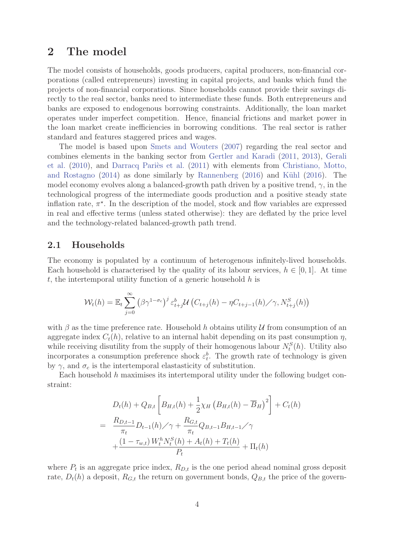# **2 The model**

The model consists of households, goods producers, capital producers, non-financial corporations (called entrepreneurs) investing in capital projects, and banks which fund the projects of non-financial corporations. Since households cannot provide their savings directly to the real sector, banks need to intermediate these funds. Both entrepreneurs and banks are exposed to endogenous borrowing constraints. Additionally, the loan market operates under imperfect competition. Hence, financial frictions and market power in the loan market create inefficiencies in borrowing conditions. The real sector is rather standard and features staggered prices and wages.

The model is based upon Smets and Wouters (2007) regarding the real sector and combines elements in the banking sector from Gertler and Karadi (2011, 2013), Gerali et al.  $(2010)$ , and Darracq Pariès et al.  $(2011)$  with elements from Christiano, Motto, and Rostagno  $(2014)$  as done similarly by Rannenberg  $(2016)$  and Kühl  $(2016)$ . The model economy evolves along a balanced-growth path driven by a positive trend,  $\gamma$ , in the technological progress of the intermediate goods production and a positive steady state inflation rate,  $\pi^*$ . In the description of the model, stock and flow variables are expressed in real and effective terms (unless stated otherwise): they are deflated by the price level and the technology-related balanced-growth path trend.

#### **2.1 Households**

The economy is populated by a continuum of heterogenous infinitely-lived households. Each household is characterised by the quality of its labour services,  $h \in [0, 1]$ . At time t, the intertemporal utility function of a generic household  $h$  is

$$
\mathcal{W}_t(h) = \mathbb{E}_t \sum_{j=0}^{\infty} \left( \beta \gamma^{1-\sigma_c} \right)^j \varepsilon_{t+j}^b \mathcal{U} \left( C_{t+j}(h) - \eta C_{t+j-1}(h) \middle/ \gamma, N_{t+j}^S(h) \right)
$$

with  $\beta$  as the time preference rate. Household h obtains utility U from consumption of an aggregate index  $C_t(h)$ , relative to an internal habit depending on its past consumption  $\eta$ , while receiving disutility from the supply of their homogenous labour  $N_t^S(h)$ . Utility also<br>incorporates a consumption professor shock  $c^b$ . The growth rate of technology is given incorporates a consumption preference shock  $\varepsilon_t^b$ . The growth rate of technology is given<br>by  $\alpha_t$  and  $\sigma_t$  is the intertemporal electroticity of substitution by  $\gamma$ , and  $\sigma_c$  is the intertemporal elastasticity of substitution.

Each household  $h$  maximises its intertemporal utility under the following budget constraint:

$$
D_{t}(h) + Q_{B,t} \left[ B_{H,t}(h) + \frac{1}{2} \chi_{H} \left( B_{H,t}(h) - \overline{B}_{H} \right)^{2} \right] + C_{t}(h)
$$
  
= 
$$
\frac{R_{D,t-1}}{\pi_{t}} D_{t-1}(h) / \gamma + \frac{R_{G,t}}{\pi_{t}} Q_{B,t-1} B_{H,t-1} / \gamma
$$
  
+ 
$$
\frac{(1 - \tau_{w,t}) W_{t}^{h} N_{t}^{S}(h) + A_{t}(h) + T_{t}(h)}{P_{t}} + \Pi_{t}(h)
$$

where  $P_t$  is an aggregate price index,  $R_{D,t}$  is the one period ahead nominal gross deposit rate,  $D_t(h)$  a deposit,  $R_{G,t}$  the return on government bonds,  $Q_{B,t}$  the price of the govern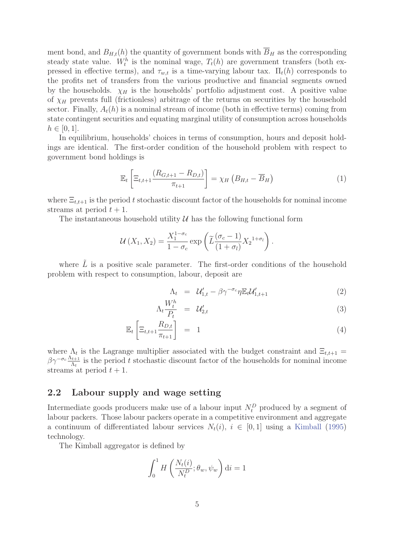ment bond, and  $B_{H,t}(h)$  the quantity of government bonds with  $\overline{B}_H$  as the corresponding steady state value.  $W_t^h$  is the nominal wage,  $T_t(h)$  are government transfers (both ex-<br>precesed in effective terms), and  $\tau$ , is a time varying labour tax.  $\Pi(h)$  corresponds to pressed in effective terms), and  $\tau_{w,t}$  is a time-varying labour tax.  $\Pi_t(h)$  corresponds to the profits net of transfers from the various productive and financial segments owned by the households.  $\chi_H$  is the households' portfolio adjustment cost. A positive value of  $\chi_H$  prevents full (frictionless) arbitrage of the returns on securities by the household sector. Finally,  $A_t(h)$  is a nominal stream of income (both in effective terms) coming from state contingent securities and equating marginal utility of consumption across households  $h \in [0, 1].$ 

In equilibrium, households' choices in terms of consumption, hours and deposit holdings are identical. The first-order condition of the household problem with respect to government bond holdings is

$$
\mathbb{E}_{t}\left[\Xi_{t,t+1}\frac{\left(R_{G,t+1}-R_{D,t}\right)}{\pi_{t+1}}\right]=\chi_{H}\left(B_{H,t}-\overline{B}_{H}\right)
$$
\n(1)

where  $\Xi_{t,t+1}$  is the period t stochastic discount factor of the households for nominal income streams at period  $t + 1$ .

The instantaneous household utility  $\mathcal U$  has the following functional form

$$
\mathcal{U}(X_1, X_2) = \frac{X_1^{1-\sigma_c}}{1-\sigma_c} \exp\left(\widetilde{L}\frac{(\sigma_c-1)}{(1+\sigma_l)}X_2^{1+\sigma_l}\right).
$$

where  $\tilde{L}$  is a positive scale parameter. The first-order conditions of the household problem with respect to consumption, labour, deposit are

$$
\Lambda_t = \mathcal{U}'_{1,t} - \beta \gamma^{-\sigma_c} \eta \mathbb{E}_t \mathcal{U}'_{1,t+1} \tag{2}
$$

$$
\Lambda_t \frac{W_t^h}{P_t} = \mathcal{U}_{2,t}' \tag{3}
$$

$$
\mathbb{E}_t \left[ \Xi_{t,t+1} \frac{R_{D,t}}{\pi_{t+1}} \right] = 1 \tag{4}
$$

where  $\Lambda_t$  is the Lagrange multiplier associated with the budget constraint and  $\Xi_{t,t+1} =$  $\beta \gamma^{-\sigma_c} \frac{\Lambda_{t+1}}{\Lambda_t}$  is the period t stochastic discount factor of the households for nominal income streams at period  $t + 1$ .

# **2.2 Labour supply and wage setting**

Intermediate goods producers make use of a labour input  $N_t^D$  produced by a segment of labour packers. These labour packers eperate in a competitive environment and associate labour packers. Those labour packers operate in a competitive environment and aggregate a continuum of differentiated labour services  $N_t(i)$ ,  $i \in [0,1]$  using a Kimball (1995) technology.

The Kimball aggregator is defined by

$$
\int_0^1 H\left(\frac{N_t(i)}{N_t^D}; \theta_w, \psi_w\right) \mathrm{d}i = 1
$$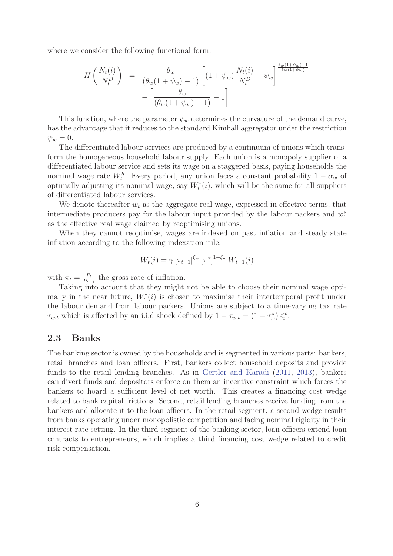where we consider the following functional form:

$$
H\left(\frac{N_t(i)}{N_t^D}\right) = \frac{\theta_w}{(\theta_w(1+\psi_w)-1)} \left[ (1+\psi_w) \frac{N_t(i)}{N_t^D} - \psi_w \right]^{\frac{\theta_w(1+\psi_w)-1}{\theta_w(1+\psi_w)}} - \left[ \frac{\theta_w}{(\theta_w(1+\psi_w)-1)} - 1 \right]
$$

This function, where the parameter  $\psi_w$  determines the curvature of the demand curve, has the advantage that it reduces to the standard Kimball aggregator under the restriction  $\psi_w = 0.$ 

The differentiated labour services are produced by a continuum of unions which transform the homogeneous household labour supply. Each union is a monopoly supplier of a differentiated labour service and sets its wage on a staggered basis, paying households the nominal wage rate  $W_t^h$ . Every period, any union faces a constant probability  $1 - \alpha_w$  of example is noningered with  $W_t^h(i)$ , which will be the same for all suppliers optimally adjusting its nominal wage, say  $W_t^*(i)$ , which will be the same for all suppliers of differentiated labour services. of differentiated labour services.

We denote thereafter  $w_t$  as the aggregate real wage, expressed in effective terms, that intermediate producers pay for the labour input provided by the labour packers and  $w_t^*$ as the effective real wage claimed by reoptimising unions.

When they cannot reoptimise, wages are indexed on past inflation and steady state inflation according to the following indexation rule:

$$
W_t(i) = \gamma \left[ \pi_{t-1} \right]^{\xi_w} \left[ \pi^{\star} \right]^{1-\xi_w} W_{t-1}(i)
$$

with  $\pi_t = \frac{P_t}{P_{t-1}}$  the gross rate of inflation.<br>Taking into account that they might

Taking into account that they might not be able to choose their nominal wage optimally in the near future,  $W_t^*(i)$  is chosen to maximise their intertemporal profit under<br>the labour demand from labour package. Unions are subject to a time varying tax rate the labour demand from labour packers. Unions are subject to a time-varying tax rate  $\tau_{w,t}$  which is affected by an i.i.d shock defined by  $1 - \tau_{w,t} = (1 - \tau_w^*) \varepsilon_t^w$ .

### **2.3 Banks**

The banking sector is owned by the households and is segmented in various parts: bankers, retail branches and loan officers. First, bankers collect household deposits and provide funds to the retail lending branches. As in Gertler and Karadi (2011, 2013), bankers can divert funds and depositors enforce on them an incentive constraint which forces the bankers to hoard a sufficient level of net worth. This creates a financing cost wedge related to bank capital frictions. Second, retail lending branches receive funding from the bankers and allocate it to the loan officers. In the retail segment, a second wedge results from banks operating under monopolistic competition and facing nominal rigidity in their interest rate setting. In the third segment of the banking sector, loan officers extend loan contracts to entrepreneurs, which implies a third financing cost wedge related to credit risk compensation.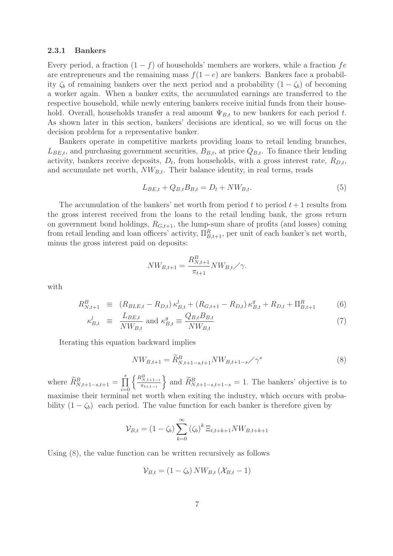#### **2.3.1 Bankers**

Every period, a fraction  $(1 - f)$  of households' members are workers, while a fraction fe are entrepreneurs and the remaining mass  $f(1-e)$  are bankers. Bankers face a probability  $\zeta_b$  of remaining bankers over the next period and a probability  $(1 - \zeta_b)$  of becoming a worker again. When a banker exits, the accumulated earnings are transferred to the respective household, while newly entering bankers receive initial funds from their household. Overall, households transfer a real amount  $\Psi_{B,t}$  to new bankers for each period t. As shown later in this section, bankers' decisions are identical, so we will focus on the decision problem for a representative banker.

Bankers operate in competitive markets providing loans to retail lending branches,  $L_{BE,t}$ , and purchasing government securities,  $B_{B,t}$ , at price  $Q_{B,t}$ . To finance their lending activity, bankers receive deposits,  $D_t$ , from households, with a gross interest rate,  $R_{D,t}$ , and accumulate net worth,  $NW_{B,t}$ . Their balance identity, in real terms, reads

$$
L_{BE,t} + Q_{B,t}B_{B,t} = D_t + NW_{B,t}.
$$
\n(5)

The accumulation of the bankers' net worth from period t to period  $t + 1$  results from the gross interest received from the loans to the retail lending bank, the gross return on government bond holdings,  $R_{G,t+1}$ , the lump-sum share of profits (and losses) coming from retail lending and loan officers' activity,  $\Pi_{B,t+1}^R$ , per unit of each banker's net worth, minus the gross interest paid on deposits:

$$
NW_{B,t+1} = \frac{R_{N,t+1}^B}{\pi_{t+1}} NW_{B,t} / \gamma.
$$

with

$$
R_{N,t+1}^{B} \equiv (R_{BLE,t} - R_{D,t}) \kappa_{B,t}^{l} + (R_{G,t+1} - R_{D,t}) \kappa_{B,t}^{g} + R_{D,t} + \Pi_{B,t+1}^{R} \tag{6}
$$

$$
\kappa_{B,t}^l \equiv \frac{L_{BE,t}}{NW_{B,t}} \text{ and } \kappa_{B,t}^g \equiv \frac{Q_{B,t}B_{B,t}}{NW_{B,t}} \tag{7}
$$

Iterating this equation backward implies

$$
NW_{B,t+1} = \widetilde{R}_{N,t+1-s,t+1}^{B} NW_{B,t+1-s} / \gamma^{s}
$$
\n(8)

where  $\widetilde{R}_{N,t+1-s,t+1}^B = \prod_{i=0}^{s}$ <br>maximise their terminal  $\bigg\{\frac{R_{N,t+1-i}^B}{2}\bigg\}$  $\pi_{t+1-i}$ } and  $\widetilde{R}_{N,t+1-s,t+1-s}^{B} = 1$ . The bankers' objective is to maximise their terminal net worth when exiting the industry, which occurs with probability  $(1 - \zeta_b)$  each period. The value function for each banker is therefore given by

$$
\mathcal{V}_{B,t} = (1 - \zeta_b) \sum_{k=0}^{\infty} (\zeta_b)^k \, \Xi_{t,t+k+1} N W_{B,t+k+1}
$$

Using (8), the value function can be written recursively as follows

$$
\mathcal{V}_{B,t} = (1 - \zeta_b) N W_{B,t} (\mathcal{X}_{B,t} - 1)
$$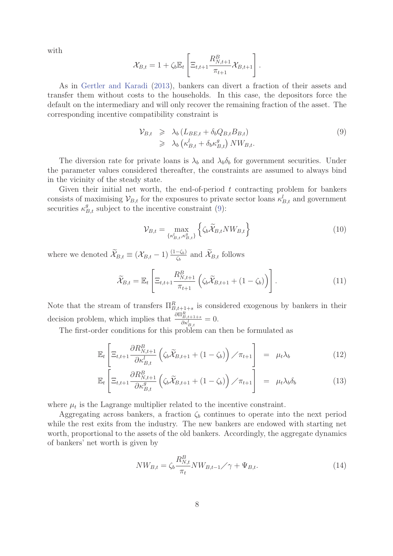with

$$
\mathcal{X}_{B,t} = 1 + \zeta_b \mathbb{E}_t \left[ \Xi_{t,t+1} \frac{R_{N,t+1}^B}{\pi_{t+1}} \mathcal{X}_{B,t+1} \right].
$$

As in Gertler and Karadi (2013), bankers can divert a fraction of their assets and transfer them without costs to the households. In this case, the depositors force the default on the intermediary and will only recover the remaining fraction of the asset. The corresponding incentive compatibility constraint is

$$
\mathcal{V}_{B,t} \geq \lambda_b \left( L_{BE,t} + \delta_b Q_{B,t} B_{B,t} \right) \geq \lambda_b \left( \kappa_{B,t}^l + \delta_b \kappa_{B,t}^g \right) N W_{B,t}.
$$
\n(9)

The diversion rate for private loans is  $\lambda_b$  and  $\lambda_b\delta_b$  for government securities. Under the parameter values considered thereafter, the constraints are assumed to always bind in the vicinity of the steady state.

Given their initial net worth, the end-of-period  $t$  contracting problem for bankers consists of maximising  $\mathcal{V}_{B,t}$  for the exposures to private sector loans  $\kappa_{B,t}^l$  and government securities  $\kappa_{B,t}^g$  subject to the incentive constraint (9):

$$
\mathcal{V}_{B,t} = \max_{\{\kappa_{B,t}^l, \kappa_{B,t}^g\}} \left\{ \zeta_b \widetilde{\mathcal{X}}_{B,t} N W_{B,t} \right\} \tag{10}
$$

where we denoted  $\widetilde{\mathcal{X}}_{B,t} \equiv (\mathcal{X}_{B,t} - 1) \frac{(1-\zeta_b)}{\zeta_b}$  and  $\widetilde{\mathcal{X}}_{B,t}$  follows

$$
\widetilde{\mathcal{X}}_{B,t} = \mathbb{E}_t \left[ \Xi_{t,t+1} \frac{R_{N,t+1}^B}{\pi_{t+1}} \left( \zeta_b \widetilde{\mathcal{X}}_{B,t+1} + (1 - \zeta_b) \right) \right]. \tag{11}
$$

Note that the stream of transfers  $\Pi_{B,t+1+s}^R$  is considered exogenous by bankers in their decision problem, which implies that  $\frac{\partial \Pi_{B,t+1+s}^R}{\partial x^L}$  $\frac{\partial \kappa_j}{\partial \kappa}$  $= 0.$ 

The first-order conditions for this problem can then be formulated as

$$
\mathbb{E}_{t}\left[\Xi_{t,t+1}\frac{\partial R_{N,t+1}^{B}}{\partial \kappa_{B,t}^{l}}\left(\zeta_{b}\widetilde{\mathcal{X}}_{B,t+1}+(1-\zeta_{b})\right)/\pi_{t+1}\right] = \mu_{t}\lambda_{b}
$$
\n(12)

$$
\mathbb{E}_{t}\left[\Xi_{t,t+1}\frac{\partial R_{N,t+1}^{B}}{\partial \kappa_{B,t}^{g}}\left(\zeta_{b}\widetilde{\mathcal{X}}_{B,t+1}+(1-\zeta_{b})\right)/\pi_{t+1}\right] = \mu_{t}\lambda_{b}\delta_{b}
$$
\n(13)

where  $\mu_t$  is the Lagrange multiplier related to the incentive constraint.

Aggregating across bankers, a fraction  $\zeta_b$  continues to operate into the next period while the rest exits from the industry. The new bankers are endowed with starting net worth, proportional to the assets of the old bankers. Accordingly, the aggregate dynamics of bankers' net worth is given by

$$
NW_{B,t} = \zeta_b \frac{R_{N,t}^B}{\pi_t} NW_{B,t-1} / \gamma + \Psi_{B,t}.
$$
\n
$$
(14)
$$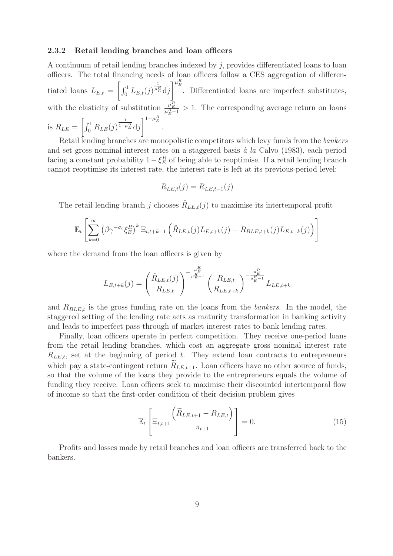#### **2.3.2 Retail lending branches and loan officers**

A continuum of retail lending branches indexed by j, provides differentiated loans to loan officers. The total financing needs of loan officers follow a CES aggregation of differentiated loans  $L_{E,t} = \left[\int_0^1 L_{E,t}(j)^{\frac{1}{\mu_i}}\right]$  $\frac{1}{\mu_E^R}$ dj<sup> $\mu_E^R$ </sup>. Differentiated loans are imperfect substitutes, with the elasticity of substitution  $\frac{\mu_E^R}{\mu_E^R - 1} > 1$ . The corresponding average return on loans is  $R_{LE} = \left[ \int_0^1 R_{LE}(j) \frac{1}{1 - \mu_E^R} \mathrm{d}j \right]$  $\int_0^{1-\mu_E^R}$ 

Retail lending branches are monopolistic competitors which levy funds from the bankers and set gross nominal interest rates on a staggered basis  $\dot{a}$  la Calvo (1983), each period facing a constant probability  $1 - \xi_E^R$  of being able to reoptimise. If a retail lending branch<br>connect resorting its interest rate the interest rate is left at its previous period level: cannot reoptimise its interest rate, the interest rate is left at its previous-period level:

$$
R_{LE,t}(j) = R_{LE,t-1}(j)
$$

The retail lending branch j chooses  $\hat{R}_{LE,t}(j)$  to maximise its intertemporal profit

$$
\mathbb{E}_t \left[ \sum_{k=0}^{\infty} \left( \beta \gamma^{-\sigma_c} \xi_E^R \right)^k \Xi_{t,t+k+1} \left( \hat{R}_{LE,t}(j) L_{E,t+k}(j) - R_{BLE,t+k}(j) L_{E,t+k}(j) \right) \right]
$$

where the demand from the loan officers is given by

$$
L_{E,t+k}(j) = \left(\frac{\hat{R}_{LE,t}(j)}{R_{LE,t}}\right)^{-\frac{\mu_E^R}{\mu_E^R - 1}} \left(\frac{R_{LE,t}}{R_{LE,t+k}}\right)^{-\frac{\mu_E^R}{\mu_E^R - 1}} L_{LE,t+k}
$$

and  $R_{BLE,t}$  is the gross funding rate on the loans from the *bankers*. In the model, the staggered setting of the lending rate acts as maturity transformation in banking activity and leads to imperfect pass-through of market interest rates to bank lending rates.

Finally, loan officers operate in perfect competition. They receive one-period loans from the retail lending branches, which cost an aggregate gross nominal interest rate  $R_{LE,t}$ , set at the beginning of period t. They extend loan contracts to entrepreneurs which pay a state-contingent return  $\widetilde{R}_{LE,t+1}$ . Loan officers have no other source of funds, so that the volume of the loans they provide to the entrepreneurs equals the volume of funding they receive. Loan officers seek to maximise their discounted intertemporal flow of income so that the first-order condition of their decision problem gives

$$
\mathbb{E}_t\left[\Xi_{t,t+1}\frac{\left(\widetilde{R}_{LE,t+1}-R_{LE,t}\right)}{\pi_{t+1}}\right]=0.\tag{15}
$$

Profits and losses made by retail branches and loan officers are transferred back to the bankers.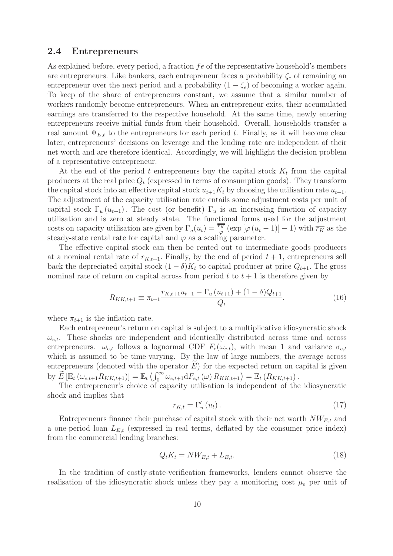#### **2.4 Entrepreneurs**

As explained before, every period, a fraction  $fe$  of the representative household's members are entrepreneurs. Like bankers, each entrepreneur faces a probability  $\zeta_e$  of remaining an entrepreneur over the next period and a probability  $(1 - \zeta_e)$  of becoming a worker again. To keep of the share of entrepreneurs constant, we assume that a similar number of workers randomly become entrepreneurs. When an entrepreneur exits, their accumulated earnings are transferred to the respective household. At the same time, newly entering entrepreneurs receive initial funds from their household. Overall, households transfer a real amount  $\Psi_{E,t}$  to the entrepreneurs for each period t. Finally, as it will become clear later, entrepreneurs' decisions on leverage and the lending rate are independent of their net worth and are therefore identical. Accordingly, we will highlight the decision problem of a representative entrepreneur.

At the end of the period t entrepreneurs buy the capital stock  $K_t$  from the capital producers at the real price  $Q_t$  (expressed in terms of consumption goods). They transform the capital stock into an effective capital stock  $u_{t+1}K_t$  by choosing the utilisation rate  $u_{t+1}$ . The adjustment of the capacity utilisation rate entails some adjustment costs per unit of capital stock  $\Gamma_u(u_{t+1})$ . The cost (or benefit)  $\Gamma_u$  is an increasing function of capacity utilisation and is zero at steady state. The functional forms used for the adjustment costs on capacity utilisation are given by  $\Gamma_u(u_t) = \frac{\overline{\overline{r}_K}}{\varphi} (\exp [\varphi (u_t - 1)] - 1)$  with  $\overline{r_K}$  as the steady-state rental rate for capital and  $\varphi$  as a scaling parameter steady-state rental rate for capital and  $\varphi$  as a scaling parameter.

The effective capital stock can then be rented out to intermediate goods producers at a nominal rental rate of  $r_{K,t+1}$ . Finally, by the end of period  $t+1$ , entrepreneurs sell back the depreciated capital stock  $(1 - \delta)K_t$  to capital producer at price  $Q_{t+1}$ . The gross nominal rate of return on capital across from period  $t$  to  $t + 1$  is therefore given by

$$
R_{KK,t+1} \equiv \pi_{t+1} \frac{r_{K,t+1}u_{t+1} - \Gamma_u \left(u_{t+1}\right) + (1 - \delta)Q_{t+1}}{Q_t}.
$$
\n(16)

where  $\pi_{t+1}$  is the inflation rate.

Each entrepreneur's return on capital is subject to a multiplicative idiosyncratic shock  $\omega_{e,t}$ . These shocks are independent and identically distributed across time and across entrepreneurs.  $\omega_{e,t}$  follows a lognormal CDF  $F_e(\omega_{e,t})$ , with mean 1 and variance  $\sigma_{e,t}$ which is assumed to be time-varying. By the law of large numbers, the average across entrepreneurs (denoted with the operator  $\hat{E}$ ) for the expected return on capital is given by  $\widetilde{E} \left[ \mathbb{E}_t \left( \omega_{e,t+1} R_{KK,t+1} \right) \right] = \mathbb{E}_t \left( \int_0^\infty \omega_{e,t+1} \mathrm{d}F_{e,t} \left( \omega \right) R_{KK,t+1} \right) = \mathbb{E}_t \left( R_{KK,t+1} \right).$ 

The entrepreneur's choice of capacity utilisation is independent of the idiosyncratic shock and implies that

$$
r_{K,t} = \Gamma'_u(u_t). \tag{17}
$$

Entrepreneurs finance their purchase of capital stock with their net worth  $NW_{E,t}$  and a one-period loan  $L_{E,t}$  (expressed in real terms, deflated by the consumer price index) from the commercial lending branches:

$$
Q_t K_t = N W_{E,t} + L_{E,t}.\tag{18}
$$

In the tradition of costly-state-verification frameworks, lenders cannot observe the realisation of the idiosyncratic shock unless they pay a monitoring cost  $\mu_e$  per unit of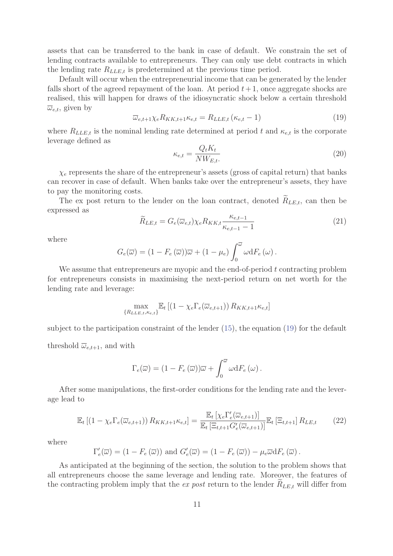assets that can be transferred to the bank in case of default. We constrain the set of lending contracts available to entrepreneurs. They can only use debt contracts in which the lending rate  $R_{LLE,t}$  is predetermined at the previous time period.

Default will occur when the entrepreneurial income that can be generated by the lender falls short of the agreed repayment of the loan. At period  $t+1$ , once aggregate shocks are realised, this will happen for draws of the idiosyncratic shock below a certain threshold  $\overline{\omega}_{e,t}$ , given by

$$
\overline{\omega}_{e,t+1}\chi_e R_{KK,t+1}\kappa_{e,t} = R_{LLE,t} \left(\kappa_{e,t} - 1\right) \tag{19}
$$

where  $R_{LLE,t}$  is the nominal lending rate determined at period t and  $\kappa_{e,t}$  is the corporate leverage defined as

$$
\kappa_{e,t} = \frac{Q_t K_t}{NW_{E,t}}\tag{20}
$$

 $\chi_e$  represents the share of the entrepreneur's assets (gross of capital return) that banks can recover in case of default. When banks take over the entrepreneur's assets, they have to pay the monitoring costs.

The ex post return to the lender on the loan contract, denoted  $\widetilde{R}_{LE,t}$ , can then be expressed as κ

$$
\widetilde{R}_{LE,t} = G_e(\overline{\omega}_{e,t}) \chi_e R_{KK,t} \frac{\kappa_{e,t-1}}{\kappa_{e,t-1} - 1} \tag{21}
$$

where

$$
G_e(\overline{\omega}) = (1 - F_e(\overline{\omega}))\overline{\omega} + (1 - \mu_e) \int_0^{\overline{\omega}} \omega dF_e(\omega).
$$

We assume that entrepreneurs are myopic and the end-of-period  $t$  contracting problem for entrepreneurs consists in maximising the next-period return on net worth for the lending rate and leverage:

$$
\max_{\{R_{LLE,t}, \kappa_{e,t}\}} \mathbb{E}_t \left[ \left(1 - \chi_e \Gamma_e(\overline{\omega}_{e,t+1})\right) R_{KK,t+1} \kappa_{e,t} \right]
$$

subject to the participation constraint of the lender (15), the equation (19) for the default threshold  $\overline{\omega}_{e,t+1}$ , and with

$$
\Gamma_e(\overline{\omega}) = (1 - F_e(\overline{\omega}))\overline{\omega} + \int_0^{\overline{\omega}} \omega dF_e(\omega).
$$

After some manipulations, the first-order conditions for the lending rate and the leverage lead to

$$
\mathbb{E}_{t}\left[\left(1-\chi_{e}\Gamma_{e}(\overline{\omega}_{e,t+1})\right)R_{KK,t+1}\kappa_{e,t}\right] = \frac{\mathbb{E}_{t}\left[\chi_{e}\Gamma'_{e}(\overline{\omega}_{e,t+1})\right]}{\mathbb{E}_{t}\left[\Xi_{t,t+1}G'_{e}(\overline{\omega}_{e,t+1})\right]}\mathbb{E}_{t}\left[\Xi_{t,t+1}\right]R_{LE,t}
$$
(22)

where

$$
\Gamma'_e(\overline{\omega}) = (1 - F_e(\overline{\omega})) \text{ and } G'_e(\overline{\omega}) = (1 - F_e(\overline{\omega})) - \mu_e \overline{\omega} dF_e(\overline{\omega}).
$$

As anticipated at the beginning of the section, the solution to the problem shows that all entrepreneurs choose the same leverage and lending rate. Moreover, the features of the contracting problem imply that the ex post return to the lender  $R_{LE,t}$  will differ from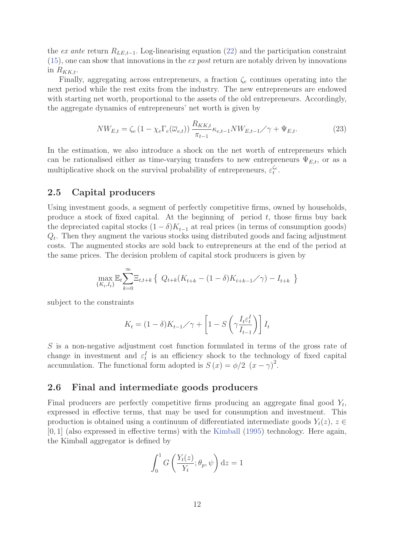the ex ante return  $R_{LE,t-1}$ . Log-linearising equation (22) and the participation constraint  $(15)$ , one can show that innovations in the *ex post* return are notably driven by innovations in  $R_{KK,t}$ .

Finally, aggregating across entrepreneurs, a fraction  $\zeta_e$  continues operating into the next period while the rest exits from the industry. The new entrepreneurs are endowed with starting net worth, proportional to the assets of the old entrepreneurs. Accordingly, the aggregate dynamics of entrepreneurs' net worth is given by

$$
NW_{E,t} = \zeta_e \left(1 - \chi_e \Gamma_e(\overline{\omega}_{e,t})\right) \frac{R_{KK,t}}{\pi_{t-1}} \kappa_{e,t-1} NW_{E,t-1} / \gamma + \Psi_{E,t}.
$$
 (23)

In the estimation, we also introduce a shock on the net worth of entrepreneurs which can be rationalised either as time-varying transfers to new entrepreneurs  $\Psi_{E,t}$ , or as a multiplicative shock on the survival probability of entrepreneurs,  $\varepsilon_t^{\zeta_e}$ .

### **2.5 Capital producers**

Using investment goods, a segment of perfectly competitive firms, owned by households, produce a stock of fixed capital. At the beginning of period  $t$ , those firms buy back the depreciated capital stocks  $(1 - \delta)K_{t-1}$  at real prices (in terms of consumption goods)  $Q_t$ . Then they augment the various stocks using distributed goods and facing adjustment costs. The augmented stocks are sold back to entrepreneurs at the end of the period at the same prices. The decision problem of capital stock producers is given by

$$
\max_{\{K_t, I_t\}} \mathbb{E}_t \sum_{k=0}^{\infty} \Xi_{t,t+k} \left\{ Q_{t+k}(K_{t+k} - (1-\delta)K_{t+k-1}/\gamma) - I_{t+k} \right\}
$$

subject to the constraints

$$
K_t = (1 - \delta)K_{t-1} / \gamma + \left[1 - S\left(\gamma \frac{I_t \varepsilon_t^I}{I_{t-1}}\right)\right] I_t
$$

S is a non-negative adjustment cost function formulated in terms of the gross rate of change in investment and  $\varepsilon_t^I$  is an efficiency shock to the technology of fixed capital<br>accumulation. The functional form adopted is  $S(x) = \phi/2$   $(x - \phi)^2$ accumulation. The functional form adopted is  $S(x) = \phi/2$   $(x - \gamma)^2$ .

#### **2.6 Final and intermediate goods producers**

Final producers are perfectly competitive firms producing an aggregate final good  $Y_t$ , expressed in effective terms, that may be used for consumption and investment. This production is obtained using a continuum of differentiated intermediate goods  $Y_t(z)$ ,  $z \in$ [0, 1] (also expressed in effective terms) with the Kimball (1995) technology. Here again, the Kimball aggregator is defined by

$$
\int_0^1 G\left(\frac{Y_t(z)}{Y_t}; \theta_p, \psi\right) dz = 1
$$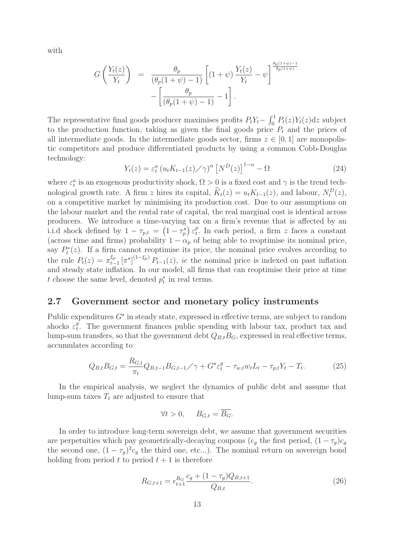with

$$
G\left(\frac{Y_t(z)}{Y_t}\right) = \frac{\theta_p}{(\theta_p(1+\psi)-1)} \left[ (1+\psi) \frac{Y_t(z)}{Y_t} - \psi \right] \frac{\frac{\theta_p(1+\psi)-1}{\theta_p(1+\psi)}}{-\left[\frac{\theta_p}{(\theta_p(1+\psi)-1)} - 1\right]}.
$$

The representative final goods producer maximises profits  $P_tY_t - \int_0^1 P_t(z)Y_t(z)dz$  subject<br>to the repetition function, taking as given the final goods price  $P_t$  and the prices of to the production function, taking as given the final goods price  $P_t$  and the prices of all intermediate goods. In the intermediate goods sector, firms  $z \in [0, 1]$  are monopolistic competitors and produce differentiated products by using a common Cobb-Douglas technology:

$$
Y_t(z) = \varepsilon_t^a \left( u_t K_{t-1}(z) \diagup \gamma \right)^\alpha \left[ N^D(z) \right]^{1-\alpha} - \Omega \tag{24}
$$

where  $\varepsilon_t^a$  is an exogenous productivity shock,  $\Omega > 0$  is a fixed cost and  $\gamma$  is the trend tech-<br>notational meanth rate. A fine which is equital  $\widetilde{K}(\alpha) = \mu K_a(\alpha)$  and lab sure  $M_a^D(\alpha)$ . nological growth rate. A firm z hires its capital,  $\widetilde{K}_t(z) = u_t K_{t-1}(z)$ , and labour,  $N_t^D(z)$ , on a competitive market by minimising its production cost. Due to our assumptions on the labour market and the rental rate of capital, the real marginal cost is identical across producers. We introduce a time-varying tax on a firm's revenue that is affected by an i.i.d shock defined by  $1 - \tau_{p,t} = (1 - \tau_p^*) \varepsilon_t^p$ . In each period, a firm z faces a constant (across time and firms) probability  $1 - \alpha_p$  of being able to reoptimise its nominal price, say  $P_t^*(z)$ . If a firm cannot reoptimise its price, the nominal price evolves according to the rule  $P_t(z) = \pi_{t-1}^{\xi_p} [\pi^*]^{(1-\xi_p)} P_{t-1}(z)$ , *ie* the nominal price is indexed on past inflation<br>and stocky state inflation. In our model, all firms that can resprinise their price at time and steady state inflation. In our model, all firms that can reoptimise their price at time t choose the same level, denoted  $p_t^*$  in real terms.

# **2.7 Government sector and monetary policy instruments**

Public expenditures  $G^*$  in steady state, expressed in effective terms, are subject to random shocks  $\varepsilon_t^g$ . The government finances public spending with labour tax, product tax and<br>lump sum transfers so that the government debt  $O$ ,  $P$ , supposed in real effective tarms lump-sum transfers, so that the government debt  $Q_{B,t}B_G$ , expressed in real effective terms, accumulates according to

$$
Q_{B,t}B_{G,t} = \frac{R_{G,t}}{\pi_t} Q_{B,t-1}B_{G,t-1} / \gamma + G^* \varepsilon_t^g - \tau_{w,t} w_t L_t - \tau_{p,t} Y_t - T_t.
$$
 (25)

In the empirical analysis, we neglect the dynamics of public debt and assume that lump-sum taxes  $T_t$  are adjusted to ensure that

$$
\forall t > 0, \quad B_{G,t} = \overline{B_G}.
$$

In order to introduce long-term sovereign debt, we assume that government securities are perpetuities which pay geometrically-decaying coupons ( $c_g$  the first period,  $(1 - \tau_g)c_g$ the second one,  $(1 - \tau_q)^2 c_q$  the third one, etc...). The nominal return on sovereign bond holding from period t to period  $t + 1$  is therefore

$$
R_{G,t+1} = \epsilon_{t+1}^{R_G} \frac{c_g + (1 - \tau_g)Q_{B,t+1}}{Q_{B,t}}.
$$
\n(26)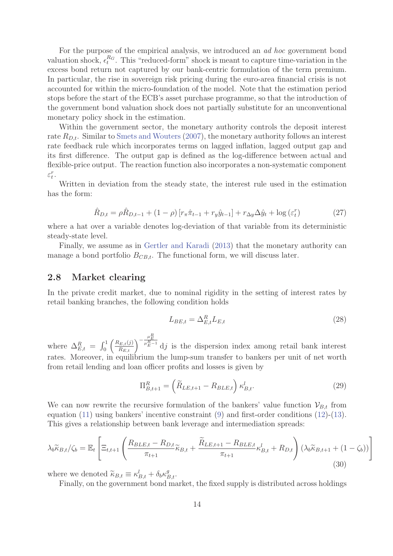For the purpose of the empirical analysis, we introduced an ad hoc government bond valuation shock,  $\epsilon_t^{R_G}$ . This "reduced-form" shock is meant to capture time-variation in the excess bond return not captured by our bank-centric formulation of the term premium. In particular, the rise in sovereign risk pricing during the euro-area financial crisis is not accounted for within the micro-foundation of the model. Note that the estimation period stops before the start of the ECB's asset purchase programme, so that the introduction of the government bond valuation shock does not partially substitute for an unconventional monetary policy shock in the estimation.

Within the government sector, the monetary authority controls the deposit interest rate  $R_{D,t}$ . Similar to Smets and Wouters (2007), the monetary authority follows an interest rate feedback rule which incorporates terms on lagged inflation, lagged output gap and its first difference. The output gap is defined as the log-difference between actual and flexible-price output. The reaction function also incorporates a non-systematic component  $\varepsilon_t^r$ .

Written in deviation from the steady state, the interest rule used in the estimation has the form:

$$
\hat{R}_{D,t} = \rho \hat{R}_{D,t-1} + (1 - \rho) \left[ r_{\pi} \hat{\pi}_{t-1} + r_y \hat{y}_{t-1} \right] + r_{\Delta y} \Delta \hat{y}_t + \log \left( \varepsilon_t^r \right) \tag{27}
$$

where a hat over a variable denotes log-deviation of that variable from its deterministic steady-state level.

Finally, we assume as in Gertler and Karadi (2013) that the monetary authority can manage a bond portfolio  $B_{CB,t}$ . The functional form, we will discuss later.

#### **2.8 Market clearing**

In the private credit market, due to nominal rigidity in the setting of interest rates by retail banking branches, the following condition holds

$$
L_{BE,t} = \Delta_{E,t}^R L_{E,t} \tag{28}
$$

where  $\Delta_{E,t}^R = \int_0^1 \left( \frac{R_{E,t}(j)}{R_{E,t}} \right)^{-\frac{\mu_E}{\mu_E^R - 1}} dj$  is the dispersion index among retail bank interest rates. Moreover, in equilibrium the lump-sum transfer to bankers per unit of net worth from retail lending and loan officer profits and losses is given by

$$
\Pi_{B,t+1}^{R} = \left(\widetilde{R}_{LE,t+1} - R_{BLE,t}\right) \kappa_{B,t}^{l}.
$$
\n(29)

We can now rewrite the recursive formulation of the bankers' value function  $\mathcal{V}_{B,t}$  from equation (11) using bankers' incentive constraint (9) and first-order conditions (12)-(13). This gives a relationship between bank leverage and intermediation spreads:

$$
\lambda_b \widetilde{\kappa}_{B,t} / \zeta_b = \mathbb{E}_t \left[ \Xi_{t,t+1} \left( \frac{R_{BLE,t} - R_{D,t}}{\pi_{t+1}} \widetilde{\kappa}_{B,t} + \frac{\widetilde{R}_{LE,t+1} - R_{BLE,t}}{\pi_{t+1}} \kappa_{B,t}^l + R_{D,t} \right) (\lambda_b \widetilde{\kappa}_{B,t+1} + (1 - \zeta_b)) \right]
$$
(30)

where we denoted  $\widetilde{\kappa}_{B,t} \equiv \kappa_{B,t}^l + \delta_b \kappa_{B,t}^g$ .<br>Finally, on the government bond map

Finally, on the government bond market, the fixed supply is distributed across holdings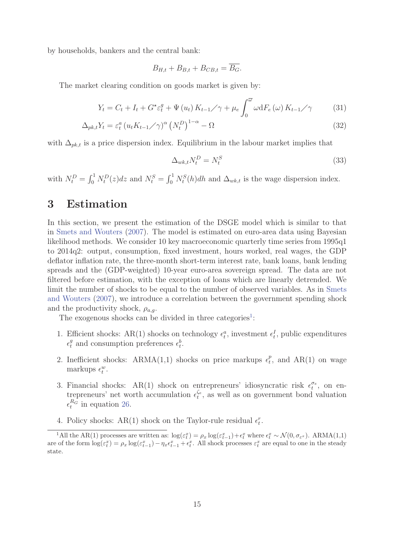by households, bankers and the central bank:

$$
B_{H,t} + B_{B,t} + B_{CB,t} = \overline{B_G}.
$$

The market clearing condition on goods market is given by:

$$
Y_{t} = C_{t} + I_{t} + G^{\star}\varepsilon_{t}^{g} + \Psi(u_{t})K_{t-1}/\gamma + \mu_{e}\int_{0}^{\overline{\omega}}\omega dF_{e}(\omega)K_{t-1}/\gamma \qquad (31)
$$

$$
\Delta_{pk,t} Y_t = \varepsilon_t^a \left( u_t K_{t-1} / \gamma \right)^\alpha \left( N_t^D \right)^{1-\alpha} - \Omega \tag{32}
$$

with  $\Delta_{pk,t}$  is a price dispersion index. Equilibrium in the labour market implies that

$$
\Delta_{wk,t} N_t^D = N_t^S \tag{33}
$$

with  $N_t^D = \int_0^1 N_t^D(z) dz$  and  $N_t^S = \int_0^1 N_t^S(h) dh$  and  $\Delta_{wk,t}$  is the wage dispersion index.

# **3 Estimation**

In this section, we present the estimation of the DSGE model which is similar to that in Smets and Wouters (2007). The model is estimated on euro-area data using Bayesian likelihood methods. We consider 10 key macroeconomic quarterly time series from 1995q1 to 2014q2: output, consumption, fixed investment, hours worked, real wages, the GDP deflator inflation rate, the three-month short-term interest rate, bank loans, bank lending spreads and the (GDP-weighted) 10-year euro-area sovereign spread. The data are not filtered before estimation, with the exception of loans which are linearly detrended. We limit the number of shocks to be equal to the number of observed variables. As in Smets and Wouters (2007), we introduce a correlation between the government spending shock and the productivity shock,  $\rho_{a,q}$ .

The exogenous shocks can be divided in three categories<sup>1</sup>:

- 1. Efficient shocks: AR(1) shocks on technology  $\epsilon_t^a$ , investment  $\epsilon_t^I$ , public expenditures  $\epsilon_t^g$  and consumption preferences  $\epsilon_t^b$ .
- 2. Inefficient shocks: ARMA(1,1) shocks on price markups  $\epsilon_t^p$ , and AR(1) on wage markups  $\epsilon_t^w$ .
- 3. Financial shocks: AR(1) shock on entrepreneurs' idiosyncratic risk  $\epsilon_t^{\sigma_e}$ , on entrepreneurs' net worth accumulation  $\epsilon_t^{\epsilon_e}$  as well as an externment hand valuation trepreneurs' net worth accumulation  $\epsilon_t^{\zeta_e}$ , as well as on government bond valuation  $\epsilon_t^{R_G}$  in equation 26.
- 4. Policy shocks: AR(1) shock on the Taylor-rule residual  $\epsilon_t^r$ .

<sup>&</sup>lt;sup>1</sup>All the AR(1) processes are written as:  $\log(\varepsilon_t^x) = \rho_x \log(\varepsilon_{t-1}^x) + \varepsilon_t^x$  where  $\epsilon_t^x \sim \mathcal{N}(0, \sigma_{\varepsilon^x})$ . ARMA(1,1) are of the form  $\log(\varepsilon_t^x) = \rho_x \log(\varepsilon_{t-1}^x) - \eta_x \varepsilon_{t-1}^x + \varepsilon_t^x$ . All shock processes  $\varepsilon_t^x$  are equal to one in the steady state.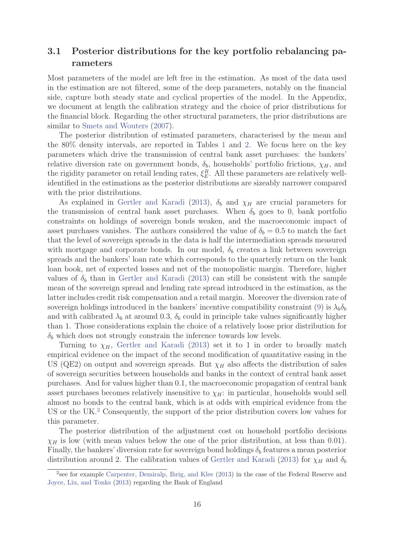# **3.1 Posterior distributions for the key portfolio rebalancing parameters**

Most parameters of the model are left free in the estimation. As most of the data used in the estimation are not filtered, some of the deep parameters, notably on the financial side, capture both steady state and cyclical properties of the model. In the Appendix, we document at length the calibration strategy and the choice of prior distributions for the financial block. Regarding the other structural parameters, the prior distributions are similar to Smets and Wouters  $(2007)$ .

The posterior distribution of estimated parameters, characterised by the mean and the 80% density intervals, are reported in Tables 1 and 2. We focus here on the key parameters which drive the transmission of central bank asset purchases: the bankers' relative diversion rate on government bonds,  $\delta_b$ , households' portfolio frictions,  $\chi_H$ , and the rigidity parameter on retail lending rates,  $\xi_E^R$ . All these parameters are relatively well-<br>identified in the estimations as the pesterior distributions are sizeably parameter compared identified in the estimations as the posterior distributions are sizeably narrower compared with the prior distributions.

As explained in Gertler and Karadi (2013),  $\delta_b$  and  $\chi_H$  are crucial parameters for the transmission of central bank asset purchases. When  $\delta_b$  goes to 0, bank portfolio constraints on holdings of sovereign bonds weaken, and the macroeconomic impact of asset purchases vanishes. The authors considered the value of  $\delta_b = 0.5$  to match the fact that the level of sovereign spreads in the data is half the intermediation spreads measured with mortgage and corporate bonds. In our model,  $\delta_b$  creates a link between sovereign spreads and the bankers' loan rate which corresponds to the quarterly return on the bank loan book, net of expected losses and net of the monopolistic margin. Therefore, higher values of  $\delta_b$  than in Gertler and Karadi (2013) can still be consistent with the sample mean of the sovereign spread and lending rate spread introduced in the estimation, as the latter includes credit risk compensation and a retail margin. Moreover the diversion rate of sovereign holdings introduced in the bankers' incentive compatibility constraint (9) is  $\lambda_b \delta_b$ and with calibrated  $\lambda_b$  at around 0.3,  $\delta_b$  could in principle take values significantly higher than 1. Those considerations explain the choice of a relatively loose prior distribution for  $\delta_b$  which does not strongly constrain the inference towards low levels.

Turning to  $\chi_H$ , Gertler and Karadi (2013) set it to 1 in order to broadly match empirical evidence on the impact of the second modification of quantitative easing in the US (QE2) on output and sovereign spreads. But  $\chi_H$  also affects the distribution of sales of sovereign securities between households and banks in the context of central bank asset purchases. And for values higher than 0.1, the macroeconomic propagation of central bank asset purchases becomes relatively insensitive to  $\chi_H$ : in particular, households would sell almost no bonds to the central bank, which is at odds with empirical evidence from the US or the UK.<sup>2</sup> Consequently, the support of the prior distribution covers low values for this parameter.

The posterior distribution of the adjustment cost on household portfolio decisions  $\chi_H$  is low (with mean values below the one of the prior distribution, at less than 0.01). Finally, the bankers' diversion rate for sovereign bond holdings  $\delta_b$  features a mean posterior distribution around 2. The calibration values of Gertler and Karadi (2013) for  $\chi_H$  and  $\delta_b$ 

<sup>2</sup>see for example Carpenter, Demiralp, Ihrig, and Klee (2013) in the case of the Federal Reserve and Joyce, Liu, and Tonks (2013) regarding the Bank of England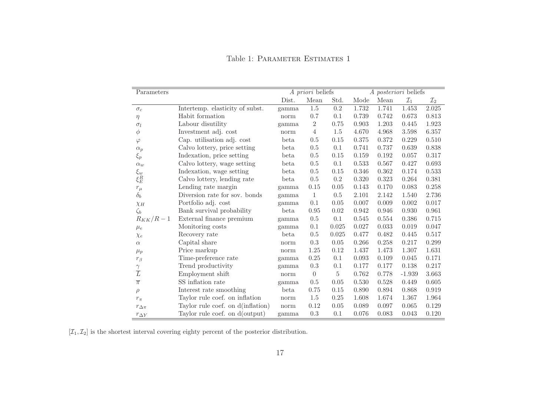| Parameters         |                                   | A priori beliefs |                |          | A posteriori beliefs |       |                 |                 |
|--------------------|-----------------------------------|------------------|----------------|----------|----------------------|-------|-----------------|-----------------|
|                    |                                   | Dist.            | Mean           | Std.     | Mode                 | Mean  | $\mathcal{I}_1$ | $\mathcal{I}_2$ |
| $\sigma_c$         | Intertemp. elasticity of subst.   | gamma            | 1.5            | 0.2      | 1.732                | 1.741 | 1.453           | 2.025           |
| $\eta$             | Habit formation                   | norm             | 0.7            | 0.1      | 0.739                | 0.742 | 0.673           | 0.813           |
| $\sigma_l$         | Labour disutility                 | gamma            | $\sqrt{2}$     | 0.75     | 0.903                | 1.203 | 0.445           | 1.923           |
| $\phi$             | Investment adj. cost              | norm             | $\overline{4}$ | 1.5      | 4.670                | 4.968 | 3.598           | 6.357           |
| $\varphi$          | Cap. utilisation adj. cost        | beta             | 0.5            | 0.15     | 0.375                | 0.372 | 0.229           | 0.510           |
| $\alpha_p$         | Calvo lottery, price setting      | beta             | 0.5            | 0.1      | 0.741                | 0.737 | 0.639           | 0.838           |
| $\xi_p$            | Indexation, price setting         | beta             | 0.5            | 0.15     | 0.159                | 0.192 | 0.057           | 0.317           |
| $\alpha_w$         | Calvo lottery, wage setting       | beta             | 0.5            | 0.1      | $\,0.533\,$          | 0.567 | 0.427           | 0.693           |
| $\xi_w$            | Indexation, wage setting          | beta             | 0.5            | 0.15     | 0.346                | 0.362 | 0.174           | 0.533           |
| $\xi_E^R$          | Calvo lottery, lending rate       | beta             | 0.5            | 0.2      | 0.320                | 0.323 | 0.264           | 0.381           |
| $r_{\mu}$          | Lending rate margin               | gamma            | 0.15           | 0.05     | 0.143                | 0.170 | 0.083           | 0.258           |
| $\delta_b$         | Diversion rate for sov. bonds     | gamma            | $\mathbf{1}$   | 0.5      | 2.101                | 2.142 | 1.540           | 2.736           |
| $\chi_H$           | Portfolio adj. cost               | gamma            | 0.1            | 0.05     | 0.007                | 0.009 | 0.002           | 0.017           |
| $\zeta_b$          | Bank survival probability         | beta             | 0.95           | $0.02\,$ | 0.942                | 0.946 | 0.930           | 0.961           |
| $R_{KK}/R-1$       | External finance premium          | gamma            | $0.5\,$        | 0.1      | 0.545                | 0.554 | 0.386           | 0.715           |
| $\mu_e$            | Monitoring costs                  | gamma            | 0.1            | 0.025    | 0.027                | 0.033 | 0.019           | $0.047\,$       |
| $\chi_e$           | Recovery rate                     | beta             | 0.5            | 0.025    | 0.477                | 0.482 | 0.445           | 0.517           |
| $\alpha$           | Capital share                     | norm             | 0.3            | 0.05     | 0.266                | 0.258 | 0.217           | 0.299           |
| $\mu_p$            | Price markup                      | norm             | 1.25           | 0.12     | 1.437                | 1.473 | 1.307           | 1.631           |
| $r_{\beta}$        | Time-preference rate              | gamma            | 0.25           | 0.1      | 0.093                | 0.109 | 0.045           | 0.171           |
|                    | Trend productivity                | gamma            | 0.3            | 0.1      | 0.177                | 0.177 | 0.138           | 0.217           |
| $\frac{\gamma}{L}$ | Employment shift                  | norm             | $\theta$       | 5        | 0.762                | 0.778 | $-1.939$        | 3.663           |
| $\overline{\pi}$   | SS inflation rate                 | gamma            | 0.5            | 0.05     | 0.530                | 0.528 | 0.449           | 0.605           |
| $\rho$             | Interest rate smoothing           | beta             | 0.75           | $0.15\,$ | 0.890                | 0.894 | 0.868           | $\,0.919\,$     |
| $r_{\pi}$          | Taylor rule coef. on inflation    | norm             | $1.5\,$        | 0.25     | 1.608                | 1.674 | 1.367           | 1.964           |
| $r_{\Delta \pi}$   | Taylor rule coef. on d(inflation) | norm             | 0.12           | 0.05     | 0.089                | 0.097 | 0.065           | 0.129           |
| $r_{\Delta Y}$     | Taylor rule coef. on d(output)    | gamma            | $\rm 0.3$      | 0.1      | 0.076                | 0.083 | 0.043           | 0.120           |

#### Table 1: PARAMETER ESTIMATES 1

 $[\mathcal{I}_1, \mathcal{I}_2]$  is the shortest interval covering eighty percent of the posterior distribution.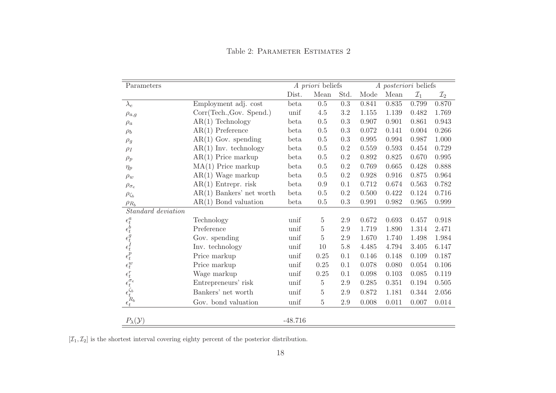| Parameters                                                                                                   |                            | A priori beliefs |                |           | A posteriori beliefs |       |                 |                 |
|--------------------------------------------------------------------------------------------------------------|----------------------------|------------------|----------------|-----------|----------------------|-------|-----------------|-----------------|
|                                                                                                              |                            | Dist.            | Mean           | Std.      | Mode                 | Mean  | $\mathcal{I}_1$ | $\mathcal{I}_2$ |
| $\lambda_e$                                                                                                  | Employment adj. cost       | beta             | $0.5\,$        | $\rm 0.3$ | 0.841                | 0.835 | 0.799           | 0.870           |
| $\rho_{a,g}$                                                                                                 | Corr(Tech., Gov. Spend.)   | unif             | 4.5            | 3.2       | 1.155                | 1.139 | 0.482           | 1.769           |
| $\rho_a$                                                                                                     | $AR(1)$ Technology         | beta             | 0.5            | 0.3       | 0.907                | 0.901 | 0.861           | 0.943           |
| $\rho_b$                                                                                                     | $AR(1)$ Preference         | beta             | 0.5            | 0.3       | 0.072                | 0.141 | 0.004           | 0.266           |
| $\rho_g$                                                                                                     | $AR(1)$ Gov. spending      | beta             | 0.5            | 0.3       | 0.995                | 0.994 | 0.987           | 1.000           |
| $\rho_I$                                                                                                     | $AR(1)$ Inv. technology    | beta             | 0.5            | 0.2       | 0.559                | 0.593 | 0.454           | 0.729           |
| $\rho_p$                                                                                                     | $AR(1)$ Price markup       | beta             | 0.5            | $0.2\,$   | 0.892                | 0.825 | 0.670           | 0.995           |
| $\eta_p$                                                                                                     | $MA(1)$ Price markup       | beta             | 0.5            | 0.2       | 0.769                | 0.665 | 0.428           | 0.888           |
| $\rho_w$                                                                                                     | $AR(1)$ Wage markup        | beta             | 0.5            | 0.2       | 0.928                | 0.916 | 0.875           | 0.964           |
| $\rho_{\sigma_e}$                                                                                            | $AR(1)$ Entrepr. risk      | beta             | 0.9            | 0.1       | 0.712                | 0.674 | 0.563           | 0.782           |
| $\rho_{\zeta_b}$                                                                                             | $AR(1)$ Bankers' net worth | beta             | 0.5            | 0.2       | 0.500                | 0.422 | 0.124           | 0.716           |
| $\rho_{R_b}$                                                                                                 | $AR(1)$ Bond valuation     | beta             | 0.5            | 0.3       | 0.991                | 0.982 | 0.965           | 0.999           |
| Standard deviation                                                                                           |                            |                  |                |           |                      |       |                 |                 |
|                                                                                                              | Technology                 | unif             | $\overline{5}$ | 2.9       | 0.672                | 0.693 | 0.457           | 0.918           |
|                                                                                                              | Preference                 | unif             | 5              | 2.9       | 1.719                | 1.890 | 1.314           | 2.471           |
|                                                                                                              | Gov. spending              | unif             | $\overline{5}$ | 2.9       | 1.670                | 1.740 | 1.498           | 1.984           |
|                                                                                                              | Inv. technology            | unif             | 10             | 5.8       | 4.485                | 4.794 | 3.405           | 6.147           |
| $\epsilon^{a}_{t} \epsilon^{b}_{t} \epsilon^{g}_{t} \epsilon^{f}_{t} \epsilon^{p}_{t} \epsilon^{w}_{t}$      | Price markup               | unif             | 0.25           | 0.1       | 0.146                | 0.148 | 0.109           | 0.187           |
|                                                                                                              | Price markup               | unif             | 0.25           | 0.1       | 0.078                | 0.080 | 0.054           | 0.106           |
|                                                                                                              | Wage markup                | unif             | $0.25\,$       | 0.1       | 0.098                | 0.103 | 0.085           | 0.119           |
|                                                                                                              | Entrepreneurs' risk        | unif             | $\bf 5$        | 2.9       | 0.285                | 0.351 | 0.194           | 0.505           |
|                                                                                                              | Bankers' net worth         | unif             | $\overline{5}$ | 2.9       | 0.872                | 1.181 | 0.344           | 2.056           |
| $\begin{array}{l} \epsilon^r_t \\ \epsilon^{\sigma_e}_t \\ \epsilon^{\zeta_b}_t \\ \epsilon^R_t \end{array}$ | Gov. bond valuation        | unif             | $\bf 5$        | $2.9\,$   | $0.008\,$            | 0.011 | 0.007           | 0.014           |
| $P_{\lambda}(\mathcal{Y})$                                                                                   |                            | $-48.716$        |                |           |                      |       |                 |                 |

Table 2: PARAMETER ESTIMATES 2

 $[\mathcal{I}_1, \mathcal{I}_2]$  is the shortest interval covering eighty percent of the posterior distribution.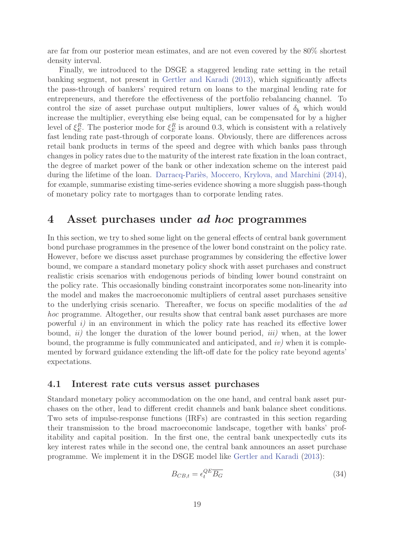are far from our posterior mean estimates, and are not even covered by the 80% shortest density interval.

Finally, we introduced to the DSGE a staggered lending rate setting in the retail banking segment, not present in Gertler and Karadi (2013), which significantly affects the pass-through of bankers' required return on loans to the marginal lending rate for entrepreneurs, and therefore the effectiveness of the portfolio rebalancing channel. To control the size of asset purchase output multipliers, lower values of  $\delta_b$  which would increase the multiplier, everything else being equal, can be compensated for by a higher level of  $\xi_E^R$ . The posterior mode for  $\xi_E^R$  is around 0.3, which is consistent with a relatively<br>feat leading rate past through of corporate leaps. Obviously, there are differences across fast lending rate past-through of corporate loans. Obviously, there are differences across retail bank products in terms of the speed and degree with which banks pass through changes in policy rates due to the maturity of the interest rate fixation in the loan contract, the degree of market power of the bank or other indexation scheme on the interest paid during the lifetime of the loan. Darracq-Pariès, Moccero, Krylova, and Marchini (2014), for example, summarise existing time-series evidence showing a more sluggish pass-though of monetary policy rate to mortgages than to corporate lending rates.

# **4 Asset purchases under** *ad hoc* **programmes**

In this section, we try to shed some light on the general effects of central bank government bond purchase programmes in the presence of the lower bond constraint on the policy rate. However, before we discuss asset purchase programmes by considering the effective lower bound, we compare a standard monetary policy shock with asset purchases and construct realistic crisis scenarios with endogenous periods of binding lower bound constraint on the policy rate. This occasionally binding constraint incorporates some non-linearity into the model and makes the macroeconomic multipliers of central asset purchases sensitive to the underlying crisis scenario. Thereafter, we focus on specific modalities of the ad hoc programme. Altogether, our results show that central bank asset purchases are more powerful  $i$ ) in an environment in which the policy rate has reached its effective lower bound,  $ii)$  the longer the duration of the lower bound period,  $iii)$  when, at the lower bound, the programme is fully communicated and anticipated, and  $iv$ ) when it is complemented by forward guidance extending the lift-off date for the policy rate beyond agents' expectations.

#### **4.1 Interest rate cuts versus asset purchases**

Standard monetary policy accommodation on the one hand, and central bank asset purchases on the other, lead to different credit channels and bank balance sheet conditions. Two sets of impulse-response functions (IRFs) are contrasted in this section regarding their transmission to the broad macroeconomic landscape, together with banks' profitability and capital position. In the first one, the central bank unexpectedly cuts its key interest rates while in the second one, the central bank announces an asset purchase programme. We implement it in the DSGE model like Gertler and Karadi (2013):

$$
B_{CB,t} = \epsilon_t^{QE} \overline{B_G} \tag{34}
$$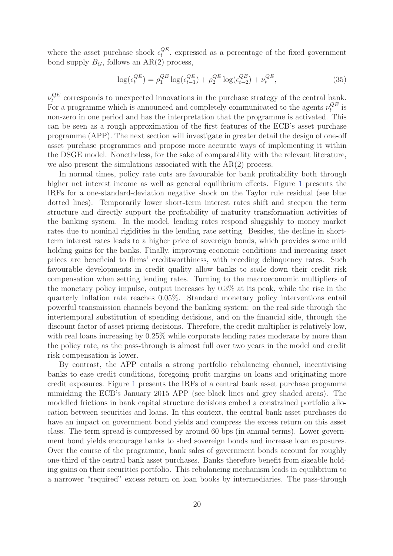where the asset purchase shock  $\epsilon_t^{QE}$ , expressed as a percentage of the fixed government<br>bond supply  $\overline{P}$  follows an AB(2) presents bond supply  $\overline{B_G}$ , follows an AR(2) process,

$$
\log(\epsilon_t^{QE}) = \rho_1^{QE} \log(\epsilon_{t-1}^{QE}) + \rho_2^{QE} \log(\epsilon_{t-2}^{QE}) + \nu_t^{QE}, \tag{35}
$$

 $\nu_t^{QE}$  corresponds to unexpected innovations in the purchase strategy of the central bank. For a programme which is announced and completely communicated to the agents  $\nu_t^{QE}$  is non-zero in one period and has the interpretation that the programme is activated. This can be seen as a rough approximation of the first features of the ECB's asset purchase programme (APP). The next section will investigate in greater detail the design of one-off asset purchase programmes and propose more accurate ways of implementing it within the DSGE model. Nonetheless, for the sake of comparability with the relevant literature, we also present the simulations associated with the AR(2) process.

In normal times, policy rate cuts are favourable for bank profitability both through higher net interest income as well as general equilibrium effects. Figure 1 presents the IRFs for a one-standard-deviation negative shock on the Taylor rule residual (see blue dotted lines). Temporarily lower short-term interest rates shift and steepen the term structure and directly support the profitability of maturity transformation activities of the banking system. In the model, lending rates respond sluggishly to money market rates due to nominal rigidities in the lending rate setting. Besides, the decline in shortterm interest rates leads to a higher price of sovereign bonds, which provides some mild holding gains for the banks. Finally, improving economic conditions and increasing asset prices are beneficial to firms' creditworthiness, with receding delinquency rates. Such favourable developments in credit quality allow banks to scale down their credit risk compensation when setting lending rates. Turning to the macroeconomic multipliers of the monetary policy impulse, output increases by 0.3% at its peak, while the rise in the quarterly inflation rate reaches 0.05%. Standard monetary policy interventions entail powerful transmission channels beyond the banking system: on the real side through the intertemporal substitution of spending decisions, and on the financial side, through the discount factor of asset pricing decisions. Therefore, the credit multiplier is relatively low, with real loans increasing by  $0.25\%$  while corporate lending rates moderate by more than the policy rate, as the pass-through is almost full over two years in the model and credit risk compensation is lower.

By contrast, the APP entails a strong portfolio rebalancing channel, incentivising banks to ease credit conditions, foregoing profit margins on loans and originating more credit exposures. Figure 1 presents the IRFs of a central bank asset purchase progamme mimicking the ECB's January 2015 APP (see black lines and grey shaded areas). The modelled frictions in bank capital structure decisions embed a constrained portfolio allocation between securities and loans. In this context, the central bank asset purchases do have an impact on government bond yields and compress the excess return on this asset class. The term spread is compressed by around 60 bps (in annual terms). Lower government bond yields encourage banks to shed sovereign bonds and increase loan exposures. Over the course of the programme, bank sales of government bonds account for roughly one-third of the central bank asset purchases. Banks therefore benefit from sizeable holding gains on their securities portfolio. This rebalancing mechanism leads in equilibrium to a narrower "required" excess return on loan books by intermediaries. The pass-through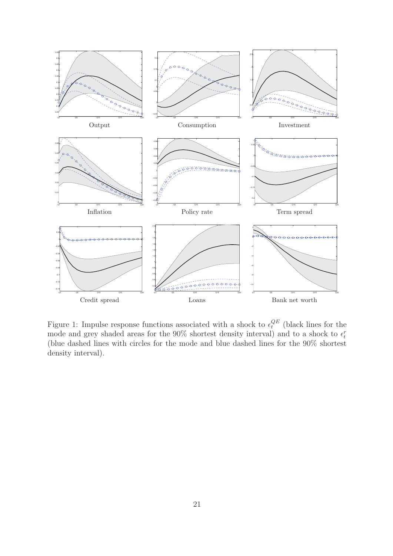

Figure 1: Impulse response functions associated with a shock to  $\epsilon_t^{QE}$  (black lines for the mode and grey shaded areas for the 90% shortest density interval) and to a shock to  $\epsilon_t^r$ (blue dashed lines with circles for the mode and blue dashed lines for the 90% shortest density interval).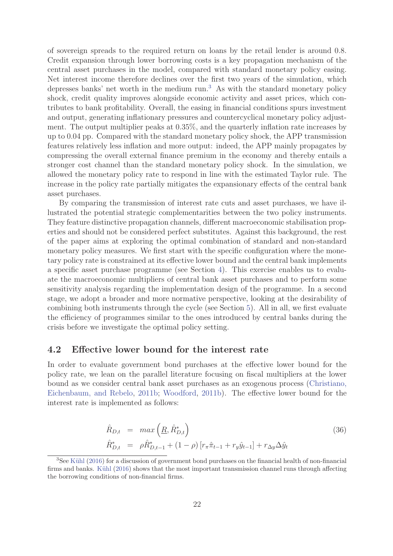of sovereign spreads to the required return on loans by the retail lender is around 0.8. Credit expansion through lower borrowing costs is a key propagation mechanism of the central asset purchases in the model, compared with standard monetary policy easing. Net interest income therefore declines over the first two years of the simulation, which depresses banks' net worth in the medium run.<sup>3</sup> As with the standard monetary policy shock, credit quality improves alongside economic activity and asset prices, which contributes to bank profitability. Overall, the easing in financial conditions spurs investment and output, generating inflationary pressures and countercyclical monetary policy adjustment. The output multiplier peaks at 0.35%, and the quarterly inflation rate increases by up to 0.04 pp. Compared with the standard monetary policy shock, the APP transmission features relatively less inflation and more output: indeed, the APP mainly propagates by compressing the overall external finance premium in the economy and thereby entails a stronger cost channel than the standard monetary policy shock. In the simulation, we allowed the monetary policy rate to respond in line with the estimated Taylor rule. The increase in the policy rate partially mitigates the expansionary effects of the central bank asset purchases.

By comparing the transmission of interest rate cuts and asset purchases, we have illustrated the potential strategic complementarities between the two policy instruments. They feature distinctive propagation channels, different macroeconomic stabilisation properties and should not be considered perfect substitutes. Against this background, the rest of the paper aims at exploring the optimal combination of standard and non-standard monetary policy measures. We first start with the specific configuration where the monetary policy rate is constrained at its effective lower bound and the central bank implements a specific asset purchase programme (see Section 4). This exercise enables us to evaluate the macroeconomic multipliers of central bank asset purchases and to perform some sensitivity analysis regarding the implementation design of the programme. In a second stage, we adopt a broader and more normative perspective, looking at the desirability of combining both instruments through the cycle (see Section 5). All in all, we first evaluate the efficiency of programmes similar to the ones introduced by central banks during the crisis before we investigate the optimal policy setting.

#### **4.2 Effective lower bound for the interest rate**

In order to evaluate government bond purchases at the effective lower bound for the policy rate, we lean on the parallel literature focusing on fiscal multipliers at the lower bound as we consider central bank asset purchases as an exogenous process (Christiano, Eichenbaum, and Rebelo, 2011b; Woodford, 2011b). The effective lower bound for the interest rate is implemented as follows:

$$
\hat{R}_{D,t} = \max\left(\underline{R}, \hat{R}_{D,t}^*\right) \n\hat{R}_{D,t}^* = \rho \hat{R}_{D,t-1}^* + (1 - \rho) \left[r_\pi \hat{\pi}_{t-1} + r_y \hat{y}_{t-1}\right] + r_{\Delta y} \Delta \hat{y}_t
$$
\n(36)

 $3$ See Kühl (2016) for a discussion of government bond purchases on the financial health of non-financial firms and banks. Kühl  $(2016)$  shows that the most important transmission channel runs through affecting the borrowing conditions of non-financial firms.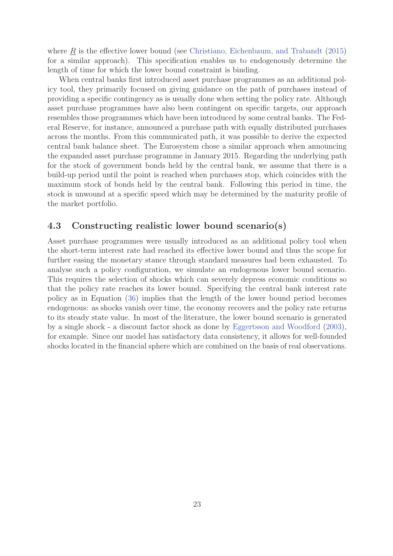where  $\underline{R}$  is the effective lower bound (see Christiano, Eichenbaum, and Trabandt (2015) for a similar approach). This specification enables us to endogenously determine the length of time for which the lower bound constraint is binding.

When central banks first introduced asset purchase programmes as an additional policy tool, they primarily focused on giving guidance on the path of purchases instead of providing a specific contingency as is usually done when setting the policy rate. Although asset purchase programmes have also been contingent on specific targets, our approach resembles those programmes which have been introduced by some central banks. The Federal Reserve, for instance, announced a purchase path with equally distributed purchases across the months. From this communicated path, it was possible to derive the expected central bank balance sheet. The Eurosystem chose a similar approach when announcing the expanded asset purchase programme in January 2015. Regarding the underlying path for the stock of government bonds held by the central bank, we assume that there is a build-up period until the point is reached when purchases stop, which coincides with the maximum stock of bonds held by the central bank. Following this period in time, the stock is unwound at a specific speed which may be determined by the maturity profile of the market portfolio.

### **4.3 Constructing realistic lower bound scenario(s)**

Asset purchase programmes were usually introduced as an additional policy tool when the short-term interest rate had reached its effective lower bound and thus the scope for further easing the monetary stance through standard measures had been exhausted. To analyse such a policy configuration, we simulate an endogenous lower bound scenario. This requires the selection of shocks which can severely depress economic conditions so that the policy rate reaches its lower bound. Specifying the central bank interest rate policy as in Equation (36) implies that the length of the lower bound period becomes endogenous: as shocks vanish over time, the economy recovers and the policy rate returns to its steady state value. In most of the literature, the lower bound scenario is generated by a single shock - a discount factor shock as done by Eggertsson and Woodford (2003), for example. Since our model has satisfactory data consistency, it allows for well-founded shocks located in the financial sphere which are combined on the basis of real observations.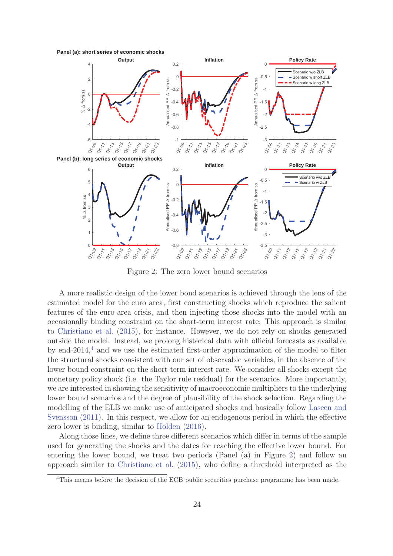**Panel (a): short series of economic shocks**



Figure 2: The zero lower bound scenarios

A more realistic design of the lower bond scenarios is achieved through the lens of the estimated model for the euro area, first constructing shocks which reproduce the salient features of the euro-area crisis, and then injecting those shocks into the model with an occasionally binding constraint on the short-term interest rate. This approach is similar to Christiano et al. (2015), for instance. However, we do not rely on shocks generated outside the model. Instead, we prolong historical data with official forecasts as available by end-2014,<sup>4</sup> and we use the estimated first-order approximation of the model to filter the structural shocks consistent with our set of observable variables, in the absence of the lower bound constraint on the short-term interest rate. We consider all shocks except the monetary policy shock (i.e. the Taylor rule residual) for the scenarios. More importantly, we are interested in showing the sensitivity of macroeconomic multipliers to the underlying lower bound scenarios and the degree of plausibility of the shock selection. Regarding the modelling of the ELB we make use of anticipated shocks and basically follow Laseen and Svensson (2011). In this respect, we allow for an endogenous period in which the effective zero lower is binding, similar to Holden (2016).

Along those lines, we define three different scenarios which differ in terms of the sample used for generating the shocks and the dates for reaching the effective lower bound. For entering the lower bound, we treat two periods (Panel (a) in Figure 2) and follow an approach similar to Christiano et al. (2015), who define a threshold interpreted as the

<sup>&</sup>lt;sup>4</sup>This means before the decision of the ECB public securities purchase programme has been made.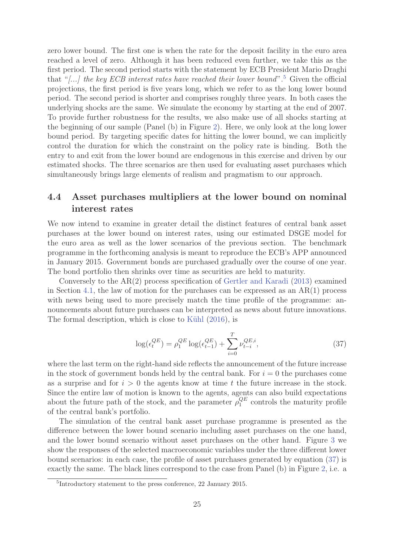zero lower bound. The first one is when the rate for the deposit facility in the euro area reached a level of zero. Although it has been reduced even further, we take this as the first period. The second period starts with the statement by ECB President Mario Draghi that "[...] the key ECB interest rates have reached their lower bound".<sup>5</sup> Given the official projections, the first period is five years long, which we refer to as the long lower bound period. The second period is shorter and comprises roughly three years. In both cases the underlying shocks are the same. We simulate the economy by starting at the end of 2007. To provide further robustness for the results, we also make use of all shocks starting at the beginning of our sample (Panel (b) in Figure 2). Here, we only look at the long lower bound period. By targeting specific dates for hitting the lower bound, we can implicitly control the duration for which the constraint on the policy rate is binding. Both the entry to and exit from the lower bound are endogenous in this exercise and driven by our estimated shocks. The three scenarios are then used for evaluating asset purchases which simultaneously brings large elements of realism and pragmatism to our approach.

# **4.4 Asset purchases multipliers at the lower bound on nominal interest rates**

We now intend to examine in greater detail the distinct features of central bank asset purchases at the lower bound on interest rates, using our estimated DSGE model for the euro area as well as the lower scenarios of the previous section. The benchmark programme in the forthcoming analysis is meant to reproduce the ECB's APP announced in January 2015. Government bonds are purchased gradually over the course of one year. The bond portfolio then shrinks over time as securities are held to maturity.

Conversely to the AR(2) process specification of Gertler and Karadi (2013) examined in Section 4.1, the law of motion for the purchases can be expressed as an  $AR(1)$  process with news being used to more precisely match the time profile of the programme: announcements about future purchases can be interpreted as news about future innovations. The formal description, which is close to Kühl  $(2016)$ , is

$$
\log(\epsilon_t^{QE}) = \rho_1^{QE} \log(\epsilon_{t-1}^{QE}) + \sum_{i=0}^T \nu_{t-i}^{QE,i},\tag{37}
$$

where the last term on the right-hand side reflects the announcement of the future increase in the stock of government bonds held by the central bank. For  $i = 0$  the purchases come as a surprise and for  $i > 0$  the agents know at time t the future increase in the stock. Since the entire law of motion is known to the agents, agents can also build expectations about the future path of the stock, and the parameter  $\rho_1^{QE}$  controls the maturity profile of the central bank's portfolio.

The simulation of the central bank asset purchase programme is presented as the difference between the lower bound scenario including asset purchases on the one hand, and the lower bound scenario without asset purchases on the other hand. Figure 3 we show the responses of the selected macroeconomic variables under the three different lower bound scenarios: in each case, the profile of asset purchases generated by equation (37) is exactly the same. The black lines correspond to the case from Panel (b) in Figure 2, i.e. a

<sup>5</sup>Introductory statement to the press conference, 22 January 2015.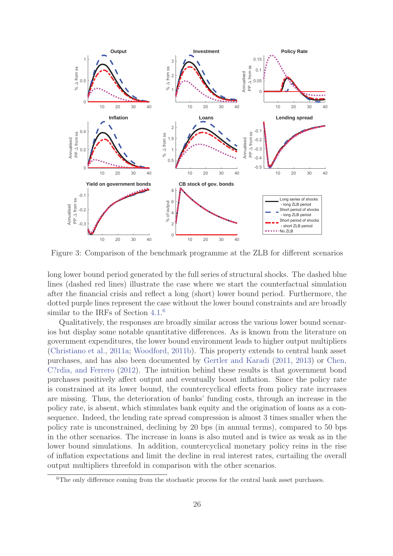

Figure 3: Comparison of the benchmark programme at the ZLB for different scenarios

long lower bound period generated by the full series of structural shocks. The dashed blue lines (dashed red lines) illustrate the case where we start the counterfactual simulation after the financial crisis and reflect a long (short) lower bound period. Furthermore, the dotted purple lines represent the case without the lower bound constraints and are broadly similar to the IRFs of Section 4.1.<sup>6</sup>

Qualitatively, the responses are broadly similar across the various lower bound scenarios but display some notable quantitative differences. As is known from the literature on government expenditures, the lower bound environment leads to higher output multipliers (Christiano et al., 2011a; Woodford, 2011b). This property extends to central bank asset purchases, and has also been documented by Gertler and Karadi (2011, 2013) or Chen, C?rdia, and Ferrero (2012). The intuition behind these results is that government bond purchases positively affect output and eventually boost inflation. Since the policy rate is constrained at its lower bound, the countercyclical effects from policy rate increases are missing. Thus, the deterioration of banks' funding costs, through an increase in the policy rate, is absent, which stimulates bank equity and the origination of loans as a consequence. Indeed, the lending rate spread compression is almost 3 times smaller when the policy rate is unconstrained, declining by 20 bps (in annual terms), compared to 50 bps in the other scenarios. The increase in loans is also muted and is twice as weak as in the lower bound simulations. In addition, countercyclical monetary policy reins in the rise of inflation expectations and limit the decline in real interest rates, curtailing the overall output multipliers threefold in comparison with the other scenarios.

<sup>&</sup>lt;sup>6</sup>The only difference coming from the stochastic process for the central bank asset purchases.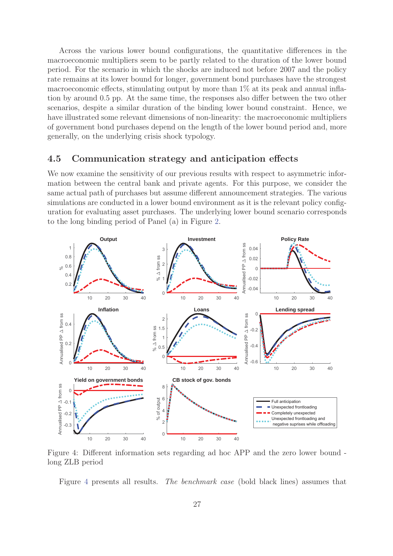Across the various lower bound configurations, the quantitative differences in the macroeconomic multipliers seem to be partly related to the duration of the lower bound period. For the scenario in which the shocks are induced not before 2007 and the policy rate remains at its lower bound for longer, government bond purchases have the strongest macroeconomic effects, stimulating output by more than 1% at its peak and annual inflation by around 0.5 pp. At the same time, the responses also differ between the two other scenarios, despite a similar duration of the binding lower bound constraint. Hence, we have illustrated some relevant dimensions of non-linearity: the macroeconomic multipliers of government bond purchases depend on the length of the lower bound period and, more generally, on the underlying crisis shock typology.

#### **4.5 Communication strategy and anticipation effects**

We now examine the sensitivity of our previous results with respect to asymmetric information between the central bank and private agents. For this purpose, we consider the same actual path of purchases but assume different announcement strategies. The various simulations are conducted in a lower bound environment as it is the relevant policy configuration for evaluating asset purchases. The underlying lower bound scenario corresponds to the long binding period of Panel (a) in Figure 2.



Figure 4: Different information sets regarding ad hoc APP and the zero lower bound long ZLB period

Figure 4 presents all results. The benchmark case (bold black lines) assumes that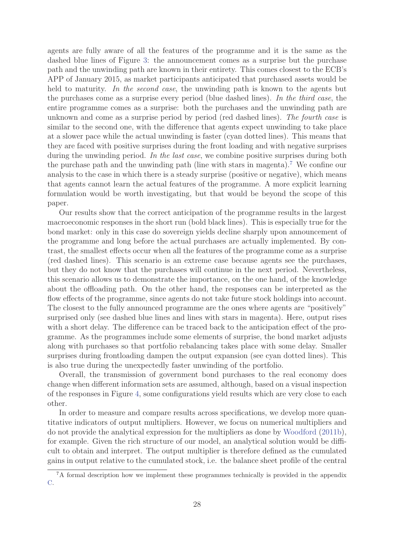agents are fully aware of all the features of the programme and it is the same as the dashed blue lines of Figure 3: the announcement comes as a surprise but the purchase path and the unwinding path are known in their entirety. This comes closest to the ECB's APP of January 2015, as market participants anticipated that purchased assets would be held to maturity. In the second case, the unwinding path is known to the agents but the purchases come as a surprise every period (blue dashed lines). In the third case, the entire programme comes as a surprise: both the purchases and the unwinding path are unknown and come as a surprise period by period (red dashed lines). The fourth case is similar to the second one, with the difference that agents expect unwinding to take place at a slower pace while the actual unwinding is faster (cyan dotted lines). This means that they are faced with positive surprises during the front loading and with negative surprises during the unwinding period. In the last case, we combine positive surprises during both the purchase path and the unwinding path (line with stars in magenta).<sup>7</sup> We confine our analysis to the case in which there is a steady surprise (positive or negative), which means that agents cannot learn the actual features of the programme. A more explicit learning formulation would be worth investigating, but that would be beyond the scope of this paper.

Our results show that the correct anticipation of the programme results in the largest macroeconomic responses in the short run (bold black lines). This is especially true for the bond market: only in this case do sovereign yields decline sharply upon announcement of the programme and long before the actual purchases are actually implemented. By contrast, the smallest effects occur when all the features of the programme come as a surprise (red dashed lines). This scenario is an extreme case because agents see the purchases, but they do not know that the purchases will continue in the next period. Nevertheless, this scenario allows us to demonstrate the importance, on the one hand, of the knowledge about the offloading path. On the other hand, the responses can be interpreted as the flow effects of the programme, since agents do not take future stock holdings into account. The closest to the fully announced programme are the ones where agents are "positively" surprised only (see dashed blue lines and lines with stars in magenta). Here, output rises with a short delay. The difference can be traced back to the anticipation effect of the programme. As the programmes include some elements of surprise, the bond market adjusts along with purchases so that portfolio rebalancing takes place with some delay. Smaller surprises during frontloading dampen the output expansion (see cyan dotted lines). This is also true during the unexpectedly faster unwinding of the portfolio.

Overall, the transmission of government bond purchases to the real economy does change when different information sets are assumed, although, based on a visual inspection of the responses in Figure 4, some configurations yield results which are very close to each other.

In order to measure and compare results across specifications, we develop more quantitative indicators of output multipliers. However, we focus on numerical multipliers and do not provide the analytical expression for the multipliers as done by Woodford (2011b), for example. Given the rich structure of our model, an analytical solution would be difficult to obtain and interpret. The output multiplier is therefore defined as the cumulated gains in output relative to the cumulated stock, i.e. the balance sheet profile of the central

<sup>&</sup>lt;sup>7</sup>A formal description how we implement these programmes technically is provided in the appendix C.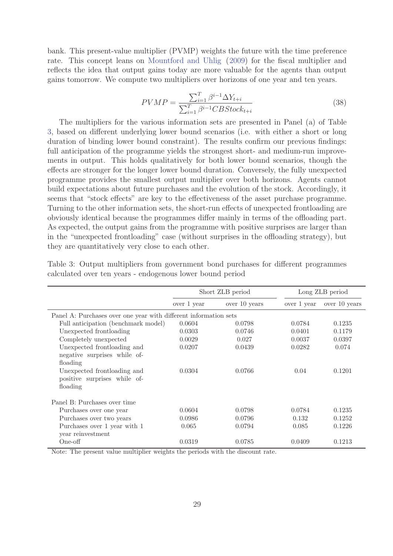bank. This present-value multiplier (PVMP) weights the future with the time preference rate. This concept leans on Mountford and Uhlig (2009) for the fiscal multiplier and reflects the idea that output gains today are more valuable for the agents than output gains tomorrow. We compute two multipliers over horizons of one year and ten years.

$$
PVMP = \frac{\sum_{i=1}^{T} \beta^{i-1} \Delta Y_{t+i}}{\sum_{i=1}^{T} \beta^{i-1} CBSlock_{t+i}}
$$
(38)

The multipliers for the various information sets are presented in Panel (a) of Table 3, based on different underlying lower bound scenarios (i.e. with either a short or long duration of binding lower bound constraint). The results confirm our previous findings: full anticipation of the programme yields the strongest short- and medium-run improvements in output. This holds qualitatively for both lower bound scenarios, though the effects are stronger for the longer lower bound duration. Conversely, the fully unexpected programme provides the smallest output multiplier over both horizons. Agents cannot build expectations about future purchases and the evolution of the stock. Accordingly, it seems that "stock effects" are key to the effectiveness of the asset purchase programme. Turning to the other information sets, the short-run effects of unexpected frontloading are obviously identical because the programmes differ mainly in terms of the offloading part. As expected, the output gains from the programme with positive surprises are larger than in the "unexpected frontloading" case (without surprises in the offloading strategy), but they are quantitatively very close to each other.

|                                                                          |             | Short ZLB period |             | Long ZLB period |
|--------------------------------------------------------------------------|-------------|------------------|-------------|-----------------|
|                                                                          | over 1 year | over 10 years    | over 1 year | over 10 years   |
| Panel A: Purchases over one year with different information sets         |             |                  |             |                 |
| Full anticipation (benchmark model)                                      | 0.0604      | 0.0798           | 0.0784      | 0.1235          |
| Unexpected frontloading                                                  | 0.0303      | 0.0746           | 0.0401      | 0.1179          |
| Completely unexpected                                                    | 0.0029      | 0.027            | 0.0037      | 0.0397          |
| Unexpected front loading and<br>negative surprises while of-<br>floading | 0.0207      | 0.0439           | 0.0282      | 0.074           |
| Unexpected front loading and<br>positive surprises while of-<br>floading | 0.0304      | 0.0766           | 0.04        | 0.1201          |
| Panel B: Purchases over time                                             |             |                  |             |                 |
| Purchases over one year                                                  | 0.0604      | 0.0798           | 0.0784      | 0.1235          |
| Purchases over two years                                                 | 0.0986      | 0.0796           | 0.132       | 0.1252          |
| Purchases over 1 year with 1<br>year reinvestment                        | 0.065       | 0.0794           | 0.085       | 0.1226          |
| One-off                                                                  | 0.0319      | 0.0785           | 0.0409      | 0.1213          |

Table 3: Output multipliers from government bond purchases for different programmes calculated over ten years - endogenous lower bound period

Note: The present value multiplier weights the periods with the discount rate.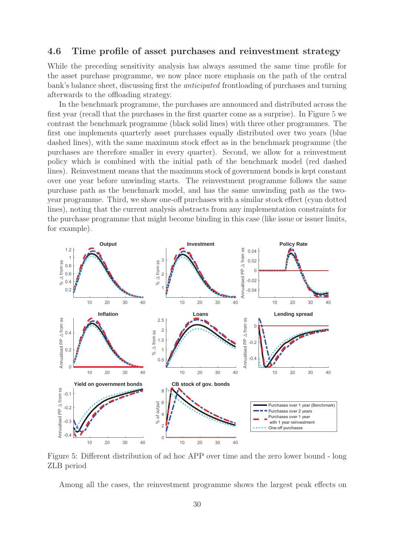#### **4.6 Time profile of asset purchases and reinvestment strategy**

While the preceding sensitivity analysis has always assumed the same time profile for the asset purchase programme, we now place more emphasis on the path of the central bank's balance sheet, discussing first the anticipated frontloading of purchases and turning afterwards to the offloading strategy.

In the benchmark programme, the purchases are announced and distributed across the first year (recall that the purchases in the first quarter come as a surprise). In Figure 5 we contrast the benchmark programme (black solid lines) with three other programmes. The first one implements quarterly asset purchases equally distributed over two years (blue dashed lines), with the same maximum stock effect as in the benchmark programme (the purchases are therefore smaller in every quarter). Second, we allow for a reinvestment policy which is combined with the initial path of the benchmark model (red dashed lines). Reinvestment means that the maximum stock of government bonds is kept constant over one year before unwinding starts. The reinvestment programme follows the same purchase path as the benchmark model, and has the same unwinding path as the twoyear programme. Third, we show one-off purchases with a similar stock effect (cyan dotted lines), noting that the current analysis abstracts from any implementation constraints for the purchase programme that might become binding in this case (like issue or issuer limits, for example).



Figure 5: Different distribution of ad hoc APP over time and the zero lower bound - long ZLB period

Among all the cases, the reinvestment programme shows the largest peak effects on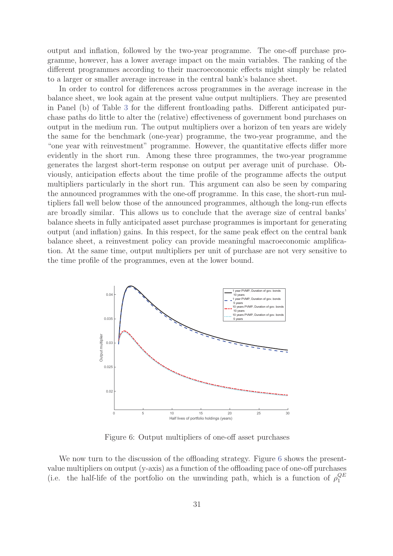output and inflation, followed by the two-year programme. The one-off purchase programme, however, has a lower average impact on the main variables. The ranking of the different programmes according to their macroeconomic effects might simply be related to a larger or smaller average increase in the central bank's balance sheet.

In order to control for differences across programmes in the average increase in the balance sheet, we look again at the present value output multipliers. They are presented in Panel (b) of Table 3 for the different frontloading paths. Different anticipated purchase paths do little to alter the (relative) effectiveness of government bond purchases on output in the medium run. The output multipliers over a horizon of ten years are widely the same for the benchmark (one-year) programme, the two-year programme, and the "one year with reinvestment" programme. However, the quantitative effects differ more evidently in the short run. Among these three programmes, the two-year programme generates the largest short-term response on output per average unit of purchase. Obviously, anticipation effects about the time profile of the programme affects the output multipliers particularly in the short run. This argument can also be seen by comparing the announced programmes with the one-off programme. In this case, the short-run multipliers fall well below those of the announced programmes, although the long-run effects are broadly similar. This allows us to conclude that the average size of central banks' balance sheets in fully anticipated asset purchase programmes is important for generating output (and inflation) gains. In this respect, for the same peak effect on the central bank balance sheet, a reinvestment policy can provide meaningful macroeconomic amplification. At the same time, output multipliers per unit of purchase are not very sensitive to the time profile of the programmes, even at the lower bound.



Figure 6: Output multipliers of one-off asset purchases

We now turn to the discussion of the offloading strategy. Figure 6 shows the presentvalue multipliers on output (y-axis) as a function of the offloading pace of one-off purchases (i.e. the half-life of the portfolio on the unwinding path, which is a function of  $\rho_1^{QE}$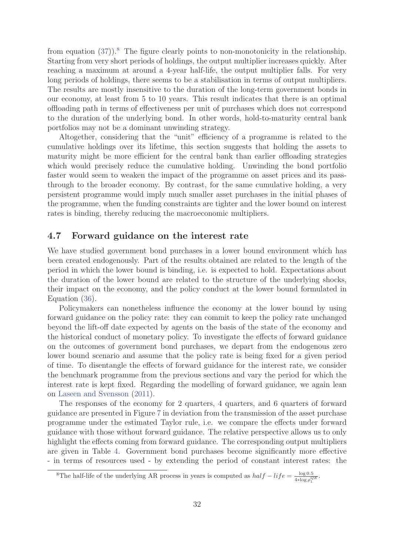from equation  $(37)$ .<sup>8</sup> The figure clearly points to non-monotonicity in the relationship. Starting from very short periods of holdings, the output multiplier increases quickly. After reaching a maximum at around a 4-year half-life, the output multiplier falls. For very long periods of holdings, there seems to be a stabilisation in terms of output multipliers. The results are mostly insensitive to the duration of the long-term government bonds in our economy, at least from 5 to 10 years. This result indicates that there is an optimal offloading path in terms of effectiveness per unit of purchases which does not correspond to the duration of the underlying bond. In other words, hold-to-maturity central bank portfolios may not be a dominant unwinding strategy.

Altogether, considering that the "unit" efficiency of a programme is related to the cumulative holdings over its lifetime, this section suggests that holding the assets to maturity might be more efficient for the central bank than earlier offloading strategies which would precisely reduce the cumulative holding. Unwinding the bond portfolio faster would seem to weaken the impact of the programme on asset prices and its passthrough to the broader economy. By contrast, for the same cumulative holding, a very persistent programme would imply much smaller asset purchases in the initial phases of the programme, when the funding constraints are tighter and the lower bound on interest rates is binding, thereby reducing the macroeconomic multipliers.

### **4.7 Forward guidance on the interest rate**

We have studied government bond purchases in a lower bound environment which has been created endogenously. Part of the results obtained are related to the length of the period in which the lower bound is binding, i.e. is expected to hold. Expectations about the duration of the lower bound are related to the structure of the underlying shocks, their impact on the economy, and the policy conduct at the lower bound formulated in Equation (36).

Policymakers can nonetheless influence the economy at the lower bound by using forward guidance on the policy rate: they can commit to keep the policy rate unchanged beyond the lift-off date expected by agents on the basis of the state of the economy and the historical conduct of monetary policy. To investigate the effects of forward guidance on the outcomes of government bond purchases, we depart from the endogenous zero lower bound scenario and assume that the policy rate is being fixed for a given period of time. To disentangle the effects of forward guidance for the interest rate, we consider the benchmark programme from the previous sections and vary the period for which the interest rate is kept fixed. Regarding the modelling of forward guidance, we again lean on Laseen and Svensson (2011).

The responses of the economy for 2 quarters, 4 quarters, and 6 quarters of forward guidance are presented in Figure 7 in deviation from the transmission of the asset purchase programme under the estimated Taylor rule, i.e. we compare the effects under forward guidance with those without forward guidance. The relative perspective allows us to only highlight the effects coming from forward guidance. The corresponding output multipliers are given in Table 4. Government bond purchases become significantly more effective - in terms of resources used - by extending the period of constant interest rates: the

<sup>&</sup>lt;sup>8</sup>The half-life of the underlying AR process in years is computed as  $half-life = \frac{\log 0.5}{4 * \log \rho_1^{QE}}$ .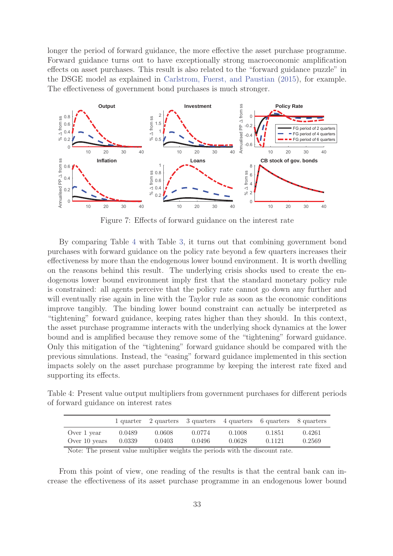longer the period of forward guidance, the more effective the asset purchase programme. Forward guidance turns out to have exceptionally strong macroeconomic amplification effects on asset purchases. This result is also related to the "forward guidance puzzle" in the DSGE model as explained in Carlstrom, Fuerst, and Paustian (2015), for example. The effectiveness of government bond purchases is much stronger.



Figure 7: Effects of forward guidance on the interest rate

By comparing Table 4 with Table 3, it turns out that combining government bond purchases with forward guidance on the policy rate beyond a few quarters increases their effectiveness by more than the endogenous lower bound environment. It is worth dwelling on the reasons behind this result. The underlying crisis shocks used to create the endogenous lower bound environment imply first that the standard monetary policy rule is constrained: all agents perceive that the policy rate cannot go down any further and will eventually rise again in line with the Taylor rule as soon as the economic conditions improve tangibly. The binding lower bound constraint can actually be interpreted as "tightening" forward guidance, keeping rates higher than they should. In this context, the asset purchase programme interacts with the underlying shock dynamics at the lower bound and is amplified because they remove some of the "tightening" forward guidance. Only this mitigation of the "tightening" forward guidance should be compared with the previous simulations. Instead, the "easing" forward guidance implemented in this section impacts solely on the asset purchase programme by keeping the interest rate fixed and supporting its effects.

Table 4: Present value output multipliers from government purchases for different periods of forward guidance on interest rates

|                              |                  | 1 quarter 2 quarters 3 quarters 4 quarters 6 quarters 8 quarters |                  |                  |                  |                  |
|------------------------------|------------------|------------------------------------------------------------------|------------------|------------------|------------------|------------------|
| Over 1 year<br>Over 10 years | 0.0489<br>0.0339 | 0.0608<br>0.0403                                                 | 0.0774<br>0.0496 | 0.1008<br>0.0628 | 0.1851<br>0.1121 | 0.4261<br>0.2569 |
| $-1$ $-1$ $-1$               |                  | .                                                                | $\cdots$         | $\cdots$         |                  |                  |

Note: The present value multiplier weights the periods with the discount rate.

From this point of view, one reading of the results is that the central bank can increase the effectiveness of its asset purchase programme in an endogenous lower bound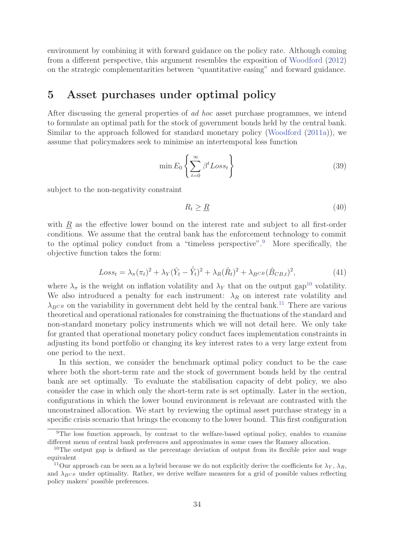environment by combining it with forward guidance on the policy rate. Although coming from a different perspective, this argument resembles the exposition of Woodford (2012) on the strategic complementarities between "quantitative easing" and forward guidance.

# **5 Asset purchases under optimal policy**

After discussing the general properties of ad hoc asset purchase programmes, we intend to formulate an optimal path for the stock of government bonds held by the central bank. Similar to the approach followed for standard monetary policy (Woodford (2011a)), we assume that policymakers seek to minimise an intertemporal loss function

$$
\min E_0 \left\{ \sum_{t=0}^{\infty} \beta^t Loss_t \right\} \tag{39}
$$

subject to the non-negativity constraint

$$
R_t \ge \underline{R} \tag{40}
$$

with  $\underline{R}$  as the effective lower bound on the interest rate and subject to all first-order conditions. We assume that the central bank has the enforcement technology to commit to the optimal policy conduct from a "timeless perspective".<sup>9</sup> More specifically, the objective function takes the form:

$$
Loss_t = \lambda_{\pi} (\pi_t)^2 + \lambda_Y (\hat{Y}_t - \hat{\bar{Y}}_t)^2 + \lambda_R (\hat{R}_t)^2 + \lambda_{B^{CB}} (\hat{B}_{CB,t})^2, \tag{41}
$$

where  $\lambda_{\pi}$  is the weight on inflation volatility and  $\lambda_{Y}$  that on the output gap<sup>10</sup> volatility. We also introduced a penalty for each instrument:  $\lambda_R$  on interest rate volatility and  $\lambda_{BCB}$  on the variability in government debt held by the central bank.<sup>11</sup> There are various theoretical and operational priorals for constraining the fluctuations of the standard and theoretical and operational rationales for constraining the fluctuations of the standard and non-standard monetary policy instruments which we will not detail here. We only take for granted that operational monetary policy conduct faces implementation constraints in adjusting its bond portfolio or changing its key interest rates to a very large extent from one period to the next.

In this section, we consider the benchmark optimal policy conduct to be the case where both the short-term rate and the stock of government bonds held by the central bank are set optimally. To evaluate the stabilisation capacity of debt policy, we also consider the case in which only the short-term rate is set optimally. Later in the section, configurations in which the lower bound environment is relevant are contrasted with the unconstrained allocation. We start by reviewing the optimal asset purchase strategy in a specific crisis scenario that brings the economy to the lower bound. This first configuration

<sup>&</sup>lt;sup>9</sup>The loss function approach, by contrast to the welfare-based optimal policy, enables to examine different menu of central bank preferences and approximates in some cases the Ramsey allocation.

<sup>&</sup>lt;sup>10</sup>The output gap is defined as the percentage deviation of output from its flexible price and wage equivalent

<sup>&</sup>lt;sup>11</sup>Our approach can be seen as a hybrid because we do not explicitly derive the coefficients for  $\lambda_Y$ ,  $\lambda_R$ , and  $\lambda_{BCB}$  under optimality. Rather, we derive welfare measures for a grid of possible values reflecting policy makers' possible preferences.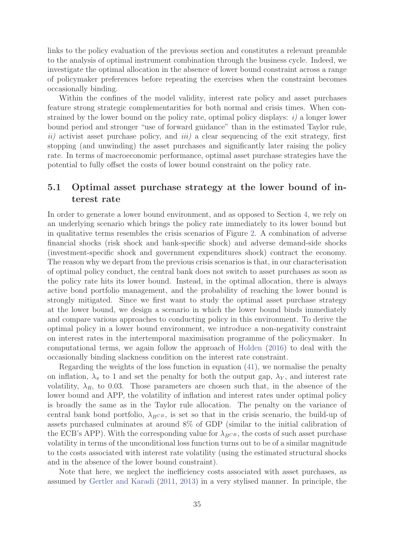links to the policy evaluation of the previous section and constitutes a relevant preamble to the analysis of optimal instrument combination through the business cycle. Indeed, we investigate the optimal allocation in the absence of lower bound constraint across a range of policymaker preferences before repeating the exercises when the constraint becomes occasionally binding.

Within the confines of the model validity, interest rate policy and asset purchases feature strong strategic complementarities for both normal and crisis times. When constrained by the lower bound on the policy rate, optimal policy displays:  $i$ ) a longer lower bound period and stronger "use of forward guidance" than in the estimated Taylor rule,  $ii)$  activist asset purchase policy, and  $iii)$  a clear sequencing of the exit strategy, first stopping (and unwinding) the asset purchases and significantly later raising the policy rate. In terms of macroeconomic performance, optimal asset purchase strategies have the potential to fully offset the costs of lower bound constraint on the policy rate.

# **5.1 Optimal asset purchase strategy at the lower bound of interest rate**

In order to generate a lower bound environment, and as opposed to Section 4, we rely on an underlying scenario which brings the policy rate immediately to its lower bound but in qualitative terms resembles the crisis scenarios of Figure 2. A combination of adverse financial shocks (risk shock and bank-specific shock) and adverse demand-side shocks (investment-specific shock and government expenditures shock) contract the economy. The reason why we depart from the previous crisis scenarios is that, in our characterisation of optimal policy conduct, the central bank does not switch to asset purchases as soon as the policy rate hits its lower bound. Instead, in the optimal allocation, there is always active bond portfolio management, and the probability of reaching the lower bound is strongly mitigated. Since we first want to study the optimal asset purchase strategy at the lower bound, we design a scenario in which the lower bound binds immediately and compare various approaches to conducting policy in this environment. To derive the optimal policy in a lower bound environment, we introduce a non-negativity constraint on interest rates in the intertemporal maximisation programme of the policymaker. In computational terms, we again follow the approach of Holden (2016) to deal with the occasionally binding slackness condition on the interest rate constraint.

Regarding the weights of the loss function in equation (41), we normalise the penalty on inflation,  $\lambda_{\pi}$  to 1 and set the penalty for both the output gap,  $\lambda_{Y}$ , and interest rate volatility,  $\lambda_R$ , to 0.03. Those parameters are chosen such that, in the absence of the lower bound and APP, the volatility of inflation and interest rates under optimal policy is broadly the same as in the Taylor rule allocation. The penalty on the variance of central bank bond portfolio,  $\lambda_{BCB}$ , is set so that in the crisis scenario, the build-up of assets purchased culminates at around 8% of GDP (similar to the initial calibration of the ECB's APP). With the corresponding value for  $\lambda_{B^{CB}}$ , the costs of such asset purchase volatility in terms of the unconditional loss function turns out to be of a similar magnitude to the costs associated with interest rate volatility (using the estimated structural shocks and in the absence of the lower bound constraint).

Note that here, we neglect the inefficiency costs associated with asset purchases, as assumed by Gertler and Karadi (2011, 2013) in a very stylised manner. In principle, the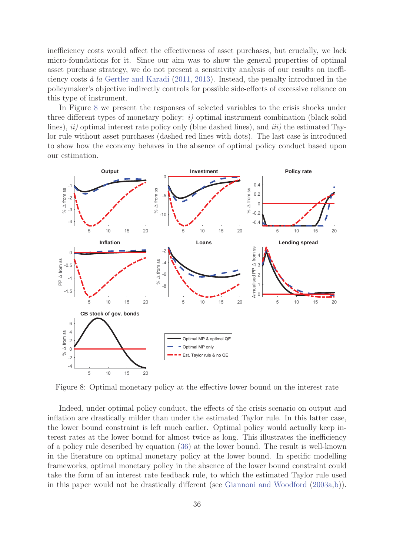inefficiency costs would affect the effectiveness of asset purchases, but crucially, we lack micro-foundations for it. Since our aim was to show the general properties of optimal asset purchase strategy, we do not present a sensitivity analysis of our results on inefficiency costs  $\dot{a}$  la Gertler and Karadi (2011, 2013). Instead, the penalty introduced in the policymaker's objective indirectly controls for possible side-effects of excessive reliance on this type of instrument.

In Figure 8 we present the responses of selected variables to the crisis shocks under three different types of monetary policy:  $i$ ) optimal instrument combination (black solid lines),  $ii)$  optimal interest rate policy only (blue dashed lines), and  $iii)$  the estimated Taylor rule without asset purchases (dashed red lines with dots). The last case is introduced to show how the economy behaves in the absence of optimal policy conduct based upon our estimation.



Figure 8: Optimal monetary policy at the effective lower bound on the interest rate

Indeed, under optimal policy conduct, the effects of the crisis scenario on output and inflation are drastically milder than under the estimated Taylor rule. In this latter case, the lower bound constraint is left much earlier. Optimal policy would actually keep interest rates at the lower bound for almost twice as long. This illustrates the inefficiency of a policy rule described by equation (36) at the lower bound. The result is well-known in the literature on optimal monetary policy at the lower bound. In specific modelling frameworks, optimal monetary policy in the absence of the lower bound constraint could take the form of an interest rate feedback rule, to which the estimated Taylor rule used in this paper would not be drastically different (see Giannoni and Woodford (2003a,b)).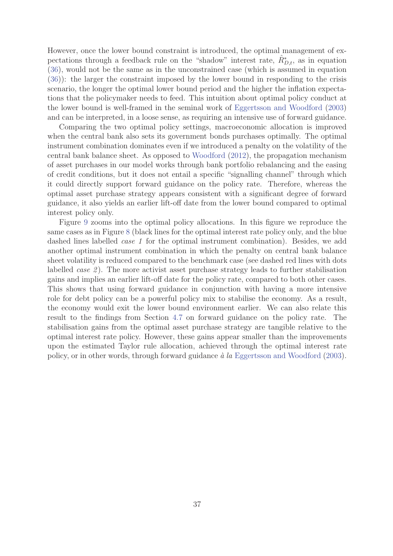However, once the lower bound constraint is introduced, the optimal management of expectations through a feedback rule on the "shadow" interest rate,  $\hat{R}_{D,t}^*$ , as in equation (26), would not be the same as in the unconstrained association is assumed in equation (36), would not be the same as in the unconstrained case (which is assumed in equation (36)): the larger the constraint imposed by the lower bound in responding to the crisis scenario, the longer the optimal lower bound period and the higher the inflation expectations that the policymaker needs to feed. This intuition about optimal policy conduct at the lower bound is well-framed in the seminal work of Eggertsson and Woodford (2003) and can be interpreted, in a loose sense, as requiring an intensive use of forward guidance.

Comparing the two optimal policy settings, macroeconomic allocation is improved when the central bank also sets its government bonds purchases optimally. The optimal instrument combination dominates even if we introduced a penalty on the volatility of the central bank balance sheet. As opposed to Woodford (2012), the propagation mechanism of asset purchases in our model works through bank portfolio rebalancing and the easing of credit conditions, but it does not entail a specific "signalling channel" through which it could directly support forward guidance on the policy rate. Therefore, whereas the optimal asset purchase strategy appears consistent with a significant degree of forward guidance, it also yields an earlier lift-off date from the lower bound compared to optimal interest policy only.

Figure 9 zooms into the optimal policy allocations. In this figure we reproduce the same cases as in Figure 8 (black lines for the optimal interest rate policy only, and the blue dashed lines labelled *case 1* for the optimal instrument combination). Besides, we add another optimal instrument combination in which the penalty on central bank balance sheet volatility is reduced compared to the benchmark case (see dashed red lines with dots labelled *case 2*). The more activist asset purchase strategy leads to further stabilisation gains and implies an earlier lift-off date for the policy rate, compared to both other cases. This shows that using forward guidance in conjunction with having a more intensive role for debt policy can be a powerful policy mix to stabilise the economy. As a result, the economy would exit the lower bound environment earlier. We can also relate this result to the findings from Section 4.7 on forward guidance on the policy rate. The stabilisation gains from the optimal asset purchase strategy are tangible relative to the optimal interest rate policy. However, these gains appear smaller than the improvements upon the estimated Taylor rule allocation, achieved through the optimal interest rate policy, or in other words, through forward guidance  $\dot{a}$  la Eggertsson and Woodford (2003).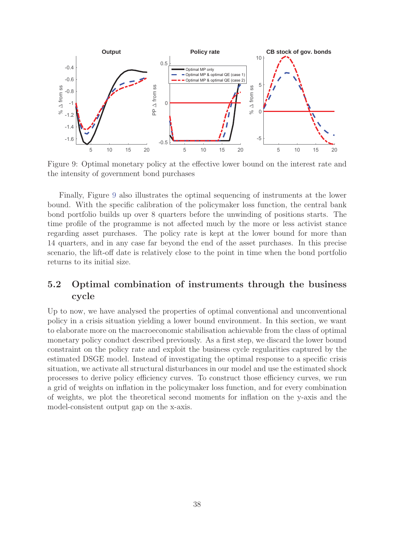

Figure 9: Optimal monetary policy at the effective lower bound on the interest rate and the intensity of government bond purchases

Finally, Figure 9 also illustrates the optimal sequencing of instruments at the lower bound. With the specific calibration of the policymaker loss function, the central bank bond portfolio builds up over 8 quarters before the unwinding of positions starts. The time profile of the programme is not affected much by the more or less activist stance regarding asset purchases. The policy rate is kept at the lower bound for more than 14 quarters, and in any case far beyond the end of the asset purchases. In this precise scenario, the lift-off date is relatively close to the point in time when the bond portfolio returns to its initial size.

# **5.2 Optimal combination of instruments through the business cycle**

Up to now, we have analysed the properties of optimal conventional and unconventional policy in a crisis situation yielding a lower bound environment. In this section, we want to elaborate more on the macroeconomic stabilisation achievable from the class of optimal monetary policy conduct described previously. As a first step, we discard the lower bound constraint on the policy rate and exploit the business cycle regularities captured by the estimated DSGE model. Instead of investigating the optimal response to a specific crisis situation, we activate all structural disturbances in our model and use the estimated shock processes to derive policy efficiency curves. To construct those efficiency curves, we run a grid of weights on inflation in the policymaker loss function, and for every combination of weights, we plot the theoretical second moments for inflation on the y-axis and the model-consistent output gap on the x-axis.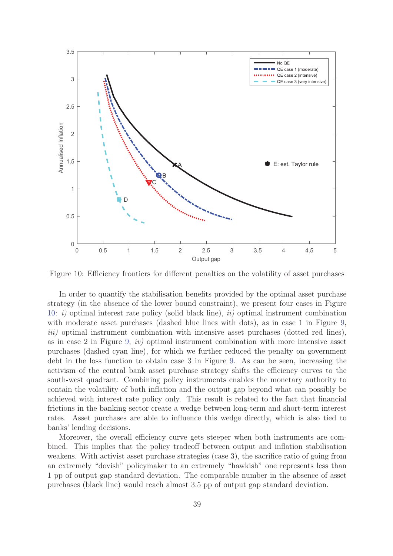

Figure 10: Efficiency frontiers for different penalties on the volatility of asset purchases

In order to quantify the stabilisation benefits provided by the optimal asset purchase strategy (in the absence of the lower bound constraint), we present four cases in Figure 10: i) optimal interest rate policy (solid black line), ii) optimal instrument combination with moderate asset purchases (dashed blue lines with dots), as in case 1 in Figure 9, iii) optimal instrument combination with intensive asset purchases (dotted red lines), as in case 2 in Figure 9, iv) optimal instrument combination with more intensive asset purchases (dashed cyan line), for which we further reduced the penalty on government debt in the loss function to obtain case 3 in Figure 9. As can be seen, increasing the activism of the central bank asset purchase strategy shifts the efficiency curves to the south-west quadrant. Combining policy instruments enables the monetary authority to contain the volatility of both inflation and the output gap beyond what can possibly be achieved with interest rate policy only. This result is related to the fact that financial frictions in the banking sector create a wedge between long-term and short-term interest rates. Asset purchases are able to influence this wedge directly, which is also tied to banks' lending decisions.

Moreover, the overall efficiency curve gets steeper when both instruments are combined. This implies that the policy tradeoff between output and inflation stabilisation weakens. With activist asset purchase strategies (case 3), the sacrifice ratio of going from an extremely "dovish" policymaker to an extremely "hawkish" one represents less than 1 pp of output gap standard deviation. The comparable number in the absence of asset purchases (black line) would reach almost 3.5 pp of output gap standard deviation.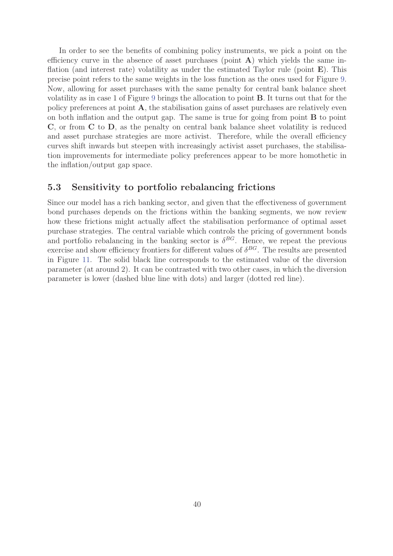In order to see the benefits of combining policy instruments, we pick a point on the efficiency curve in the absence of asset purchases (point **A**) which yields the same inflation (and interest rate) volatility as under the estimated Taylor rule (point **E**). This precise point refers to the same weights in the loss function as the ones used for Figure 9. Now, allowing for asset purchases with the same penalty for central bank balance sheet volatility as in case 1 of Figure 9 brings the allocation to point **B**. It turns out that for the policy preferences at point **A**, the stabilisation gains of asset purchases are relatively even on both inflation and the output gap. The same is true for going from point **B** to point **C**, or from **C** to **D**, as the penalty on central bank balance sheet volatility is reduced and asset purchase strategies are more activist. Therefore, while the overall efficiency curves shift inwards but steepen with increasingly activist asset purchases, the stabilisation improvements for intermediate policy preferences appear to be more homothetic in the inflation/output gap space.

#### **5.3 Sensitivity to portfolio rebalancing frictions**

Since our model has a rich banking sector, and given that the effectiveness of government bond purchases depends on the frictions within the banking segments, we now review how these frictions might actually affect the stabilisation performance of optimal asset purchase strategies. The central variable which controls the pricing of government bonds and portfolio rebalancing in the banking sector is  $\delta^{BG}$ . Hence, we repeat the previous exercise and show efficiency frontiers for different values of  $\delta^{BG}$ . The results are presented in Figure 11. The solid black line corresponds to the estimated value of the diversion parameter (at around 2). It can be contrasted with two other cases, in which the diversion parameter is lower (dashed blue line with dots) and larger (dotted red line).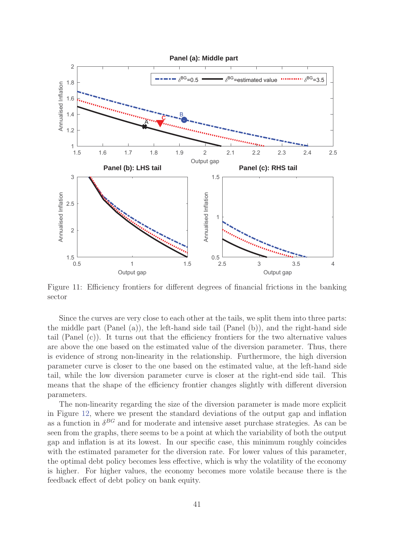

Figure 11: Efficiency frontiers for different degrees of financial frictions in the banking sector

Since the curves are very close to each other at the tails, we split them into three parts: the middle part (Panel (a)), the left-hand side tail (Panel (b)), and the right-hand side tail (Panel (c)). It turns out that the efficiency frontiers for the two alternative values are above the one based on the estimated value of the diversion parameter. Thus, there is evidence of strong non-linearity in the relationship. Furthermore, the high diversion parameter curve is closer to the one based on the estimated value, at the left-hand side tail, while the low diversion parameter curve is closer at the right-end side tail. This means that the shape of the efficiency frontier changes slightly with different diversion parameters.

The non-linearity regarding the size of the diversion parameter is made more explicit in Figure 12, where we present the standard deviations of the output gap and inflation as a function in  $\delta^{BG}$  and for moderate and intensive asset purchase strategies. As can be seen from the graphs, there seems to be a point at which the variability of both the output gap and inflation is at its lowest. In our specific case, this minimum roughly coincides with the estimated parameter for the diversion rate. For lower values of this parameter, the optimal debt policy becomes less effective, which is why the volatility of the economy is higher. For higher values, the economy becomes more volatile because there is the feedback effect of debt policy on bank equity.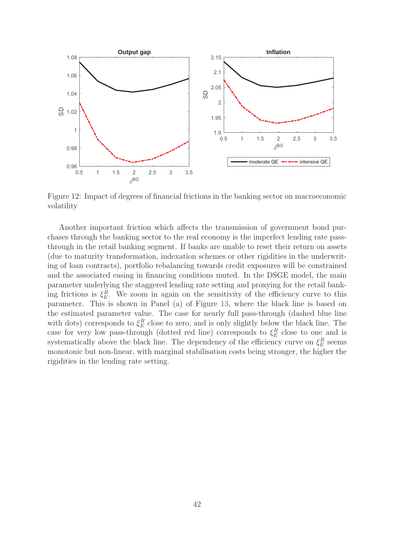

Figure 12: Impact of degrees of financial frictions in the banking sector on macroeconomic volatility

Another important friction which affects the transmission of government bond purchases through the banking sector to the real economy is the imperfect lending rate passthrough in the retail banking segment. If banks are unable to reset their return on assets (due to maturity transformation, indexation schemes or other rigidities in the underwriting of loan contracts), portfolio rebalancing towards credit exposures will be constrained and the associated easing in financing conditions muted. In the DSGE model, the main parameter underlying the staggered lending rate setting and proxying for the retail banking frictions is  $\xi_E^R$ . We zoom in again on the sensitivity of the efficiency curve to this<br>parameter. This is shown in Papel (a) of Figure 12, where the black line is based on parameter. This is shown in Panel (a) of Figure 13, where the black line is based on the estimated parameter value. The case for nearly full pass-through (dashed blue line with dots) corresponds to  $\xi_E^R$  close to zero, and is only slightly below the black line. The<br>case for your low pass through (dotted red line) corresponds to  $\xi_E^R$  close to one and is case for very low pass-through (dotted red line) corresponds to  $\xi_E^R$  close to one and is<br>expressively above the black line. The dependency of the efficiency curve on  $\xi_R^R$  comes systematically above the black line. The dependency of the efficiency curve on  $\xi_E^R$  seems<br>monotonic but non-linear, with marginal stabilisation costs being stronger, the bigher the monotonic but non-linear, with marginal stabilisation costs being stronger, the higher the rigidities in the lending rate setting.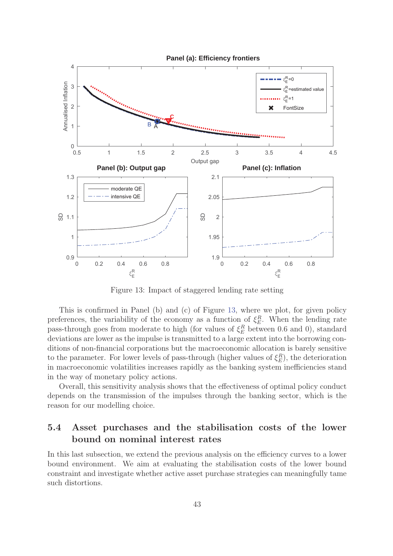

Figure 13: Impact of staggered lending rate setting

This is confirmed in Panel (b) and (c) of Figure 13, where we plot, for given policy preferences, the variability of the economy as a function of  $\xi_E^R$ . When the lending rate<br>page through goog from moderate to high (for values of  $\xi_E^R$  between 0.6 and 0) standard pass-through goes from moderate to high (for values of  $\xi_E^R$  between 0.6 and 0), standard<br>deviations are lower as the impulse is transmitted to a large extent into the horrowing condeviations are lower as the impulse is transmitted to a large extent into the borrowing conditions of non-financial corporations but the macroeconomic allocation is barely sensitive to the parameter. For lower levels of pass-through (higher values of  $\xi_E^R$ ), the deterioration<br>in magneses positivities increases repidly as the hapling system inefficiencies stand in macroeconomic volatilities increases rapidly as the banking system inefficiencies stand in the way of monetary policy actions.

Overall, this sensitivity analysis shows that the effectiveness of optimal policy conduct depends on the transmission of the impulses through the banking sector, which is the reason for our modelling choice.

# **5.4 Asset purchases and the stabilisation costs of the lower bound on nominal interest rates**

In this last subsection, we extend the previous analysis on the efficiency curves to a lower bound environment. We aim at evaluating the stabilisation costs of the lower bound constraint and investigate whether active asset purchase strategies can meaningfully tame such distortions.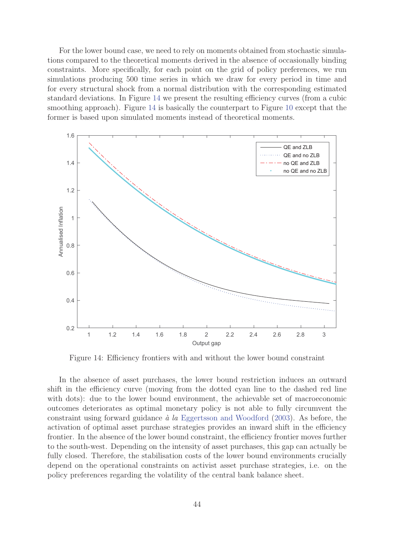For the lower bound case, we need to rely on moments obtained from stochastic simulations compared to the theoretical moments derived in the absence of occasionally binding constraints. More specifically, for each point on the grid of policy preferences, we run simulations producing 500 time series in which we draw for every period in time and for every structural shock from a normal distribution with the corresponding estimated standard deviations. In Figure 14 we present the resulting efficiency curves (from a cubic smoothing approach). Figure 14 is basically the counterpart to Figure 10 except that the former is based upon simulated moments instead of theoretical moments.



Figure 14: Efficiency frontiers with and without the lower bound constraint

In the absence of asset purchases, the lower bound restriction induces an outward shift in the efficiency curve (moving from the dotted cyan line to the dashed red line with dots): due to the lower bound environment, the achievable set of macroeconomic outcomes deteriorates as optimal monetary policy is not able to fully circumvent the constraint using forward guidance  $\dot{a}$  la Eggertsson and Woodford (2003). As before, the activation of optimal asset purchase strategies provides an inward shift in the efficiency frontier. In the absence of the lower bound constraint, the efficiency frontier moves further to the south-west. Depending on the intensity of asset purchases, this gap can actually be fully closed. Therefore, the stabilisation costs of the lower bound environments crucially depend on the operational constraints on activist asset purchase strategies, i.e. on the policy preferences regarding the volatility of the central bank balance sheet.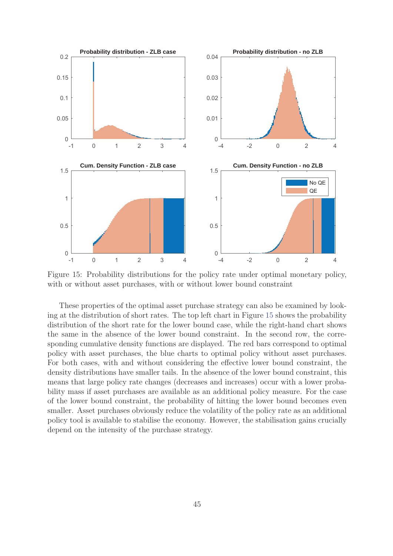

Figure 15: Probability distributions for the policy rate under optimal monetary policy, with or without asset purchases, with or without lower bound constraint

These properties of the optimal asset purchase strategy can also be examined by looking at the distribution of short rates. The top left chart in Figure 15 shows the probability distribution of the short rate for the lower bound case, while the right-hand chart shows the same in the absence of the lower bound constraint. In the second row, the corresponding cumulative density functions are displayed. The red bars correspond to optimal policy with asset purchases, the blue charts to optimal policy without asset purchases. For both cases, with and without considering the effective lower bound constraint, the density distributions have smaller tails. In the absence of the lower bound constraint, this means that large policy rate changes (decreases and increases) occur with a lower probability mass if asset purchases are available as an additional policy measure. For the case of the lower bound constraint, the probability of hitting the lower bound becomes even smaller. Asset purchases obviously reduce the volatility of the policy rate as an additional policy tool is available to stabilise the economy. However, the stabilisation gains crucially depend on the intensity of the purchase strategy.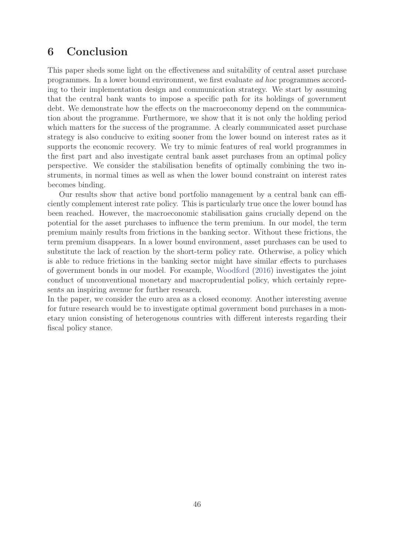# **6 Conclusion**

This paper sheds some light on the effectiveness and suitability of central asset purchase programmes. In a lower bound environment, we first evaluate ad hoc programmes according to their implementation design and communication strategy. We start by assuming that the central bank wants to impose a specific path for its holdings of government debt. We demonstrate how the effects on the macroeconomy depend on the communication about the programme. Furthermore, we show that it is not only the holding period which matters for the success of the programme. A clearly communicated asset purchase strategy is also conducive to exiting sooner from the lower bound on interest rates as it supports the economic recovery. We try to mimic features of real world programmes in the first part and also investigate central bank asset purchases from an optimal policy perspective. We consider the stabilisation benefits of optimally combining the two instruments, in normal times as well as when the lower bound constraint on interest rates becomes binding.

Our results show that active bond portfolio management by a central bank can efficiently complement interest rate policy. This is particularly true once the lower bound has been reached. However, the macroeconomic stabilisation gains crucially depend on the potential for the asset purchases to influence the term premium. In our model, the term premium mainly results from frictions in the banking sector. Without these frictions, the term premium disappears. In a lower bound environment, asset purchases can be used to substitute the lack of reaction by the short-term policy rate. Otherwise, a policy which is able to reduce frictions in the banking sector might have similar effects to purchases of government bonds in our model. For example, Woodford (2016) investigates the joint conduct of unconventional monetary and macroprudential policy, which certainly represents an inspiring avenue for further research.

In the paper, we consider the euro area as a closed economy. Another interesting avenue for future research would be to investigate optimal government bond purchases in a monetary union consisting of heterogenous countries with different interests regarding their fiscal policy stance.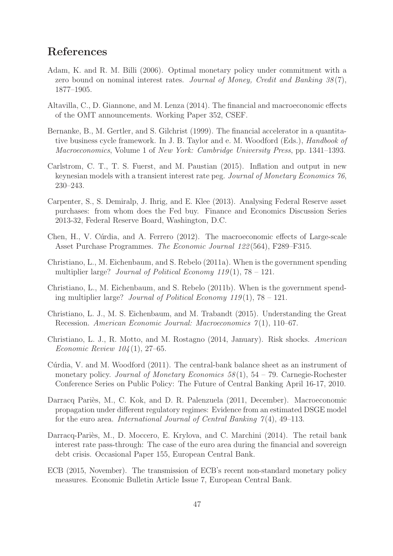# **References**

- Adam, K. and R. M. Billi (2006). Optimal monetary policy under commitment with a zero bound on nominal interest rates. Journal of Money, Credit and Banking  $38(7)$ , 1877–1905.
- Altavilla, C., D. Giannone, and M. Lenza (2014). The financial and macroeconomic effects of the OMT announcements. Working Paper 352, CSEF.
- Bernanke, B., M. Gertler, and S. Gilchrist (1999). The financial accelerator in a quantitative business cycle framework. In J. B. Taylor and e. M. Woodford (Eds.), Handbook of Macroeconomics, Volume 1 of New York: Cambridge University Press, pp. 1341–1393.
- Carlstrom, C. T., T. S. Fuerst, and M. Paustian (2015). Inflation and output in new keynesian models with a transient interest rate peg. Journal of Monetary Economics 76, 230–243.
- Carpenter, S., S. Demiralp, J. Ihrig, and E. Klee (2013). Analysing Federal Reserve asset purchases: from whom does the Fed buy. Finance and Economics Discussion Series 2013-32, Federal Reserve Board, Washington, D.C.
- Chen, H., V. Cúrdia, and A. Ferrero (2012). The macroeconomic effects of Large-scale Asset Purchase Programmes. The Economic Journal 122 (564), F289–F315.
- Christiano, L., M. Eichenbaum, and S. Rebelo (2011a). When is the government spending multiplier large? Journal of Political Economy  $119(1)$ , 78 – 121.
- Christiano, L., M. Eichenbaum, and S. Rebelo (2011b). When is the government spending multiplier large? Journal of Political Economy 119(1),  $78 - 121$ .
- Christiano, L. J., M. S. Eichenbaum, and M. Trabandt (2015). Understanding the Great Recession. American Economic Journal: Macroeconomics 7(1), 110–67.
- Christiano, L. J., R. Motto, and M. Rostagno (2014, January). Risk shocks. American *Economic Review*  $104(1)$ *, 27–65.*
- Cúrdia, V. and M. Woodford (2011). The central-bank balance sheet as an instrument of monetary policy. Journal of Monetary Economics  $58(1)$ ,  $54 - 79$ . Carnegie-Rochester Conference Series on Public Policy: The Future of Central Banking April 16-17, 2010.
- Darracq Pariès, M., C. Kok, and D. R. Palenzuela (2011, December). Macroeconomic propagation under different regulatory regimes: Evidence from an estimated DSGE model for the euro area. International Journal of Central Banking  $\gamma(4)$ , 49–113.
- Darracq-Pariès, M., D. Moccero, E. Krylova, and C. Marchini (2014). The retail bank interest rate pass-through: The case of the euro area during the financial and sovereign debt crisis. Occasional Paper 155, European Central Bank.
- ECB (2015, November). The transmission of ECB's recent non-standard monetary policy measures. Economic Bulletin Article Issue 7, European Central Bank.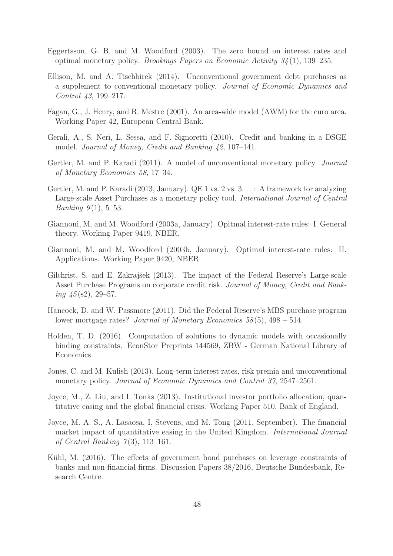- Eggertsson, G. B. and M. Woodford (2003). The zero bound on interest rates and optimal monetary policy. Brookings Papers on Economic Activity  $34(1)$ , 139–235.
- Ellison, M. and A. Tischbirek (2014). Unconventional government debt purchases as a supplement to conventional monetary policy. Journal of Economic Dynamics and Control 43, 199–217.
- Fagan, G., J. Henry, and R. Mestre (2001). An area-wide model (AWM) for the euro area. Working Paper 42, European Central Bank.
- Gerali, A., S. Neri, L. Sessa, and F. Signoretti (2010). Credit and banking in a DSGE model. Journal of Money, Credit and Banking 42, 107–141.
- Gertler, M. and P. Karadi (2011). A model of unconventional monetary policy. Journal of Monetary Economics 58, 17–34.
- Gertler, M. and P. Karadi (2013, January). QE 1 vs. 2 vs. 3. . . : A framework for analyzing Large-scale Asset Purchases as a monetary policy tool. International Journal of Central *Banking*  $9(1)$ , 5–53.
- Giannoni, M. and M. Woodford (2003a, January). Opitmal interest-rate rules: I. General theory. Working Paper 9419, NBER.
- Giannoni, M. and M. Woodford (2003b, January). Optimal interest-rate rules: II. Applications. Working Paper 9420, NBER.
- Gilchrist, S. and E. Zakrajšek (2013). The impact of the Federal Reserve's Large-scale Asset Purchase Programs on corporate credit risk. Journal of Money, Credit and Banking  $\frac{1}{5}$  (s2), 29–57.
- Hancock, D. and W. Passmore (2011). Did the Federal Reserve's MBS purchase program lower mortgage rates? Journal of Monetary Economics  $58(5)$ ,  $498 - 514$ .
- Holden, T. D. (2016). Computation of solutions to dynamic models with occasionally binding constraints. EconStor Preprints 144569, ZBW - German National Library of Economics.
- Jones, C. and M. Kulish (2013). Long-term interest rates, risk premia and unconventional monetary policy. Journal of Economic Dynamics and Control 37, 2547–2561.
- Joyce, M., Z. Liu, and I. Tonks (2013). Institutional investor portfolio allocation, quantitative easing and the global financial crisis. Working Paper 510, Bank of England.
- Joyce, M. A. S., A. Lasaosa, I. Stevens, and M. Tong (2011, September). The financial market impact of quantitative easing in the United Kingdom. International Journal of Central Banking  $7(3)$ , 113-161.
- Kühl, M. (2016). The effects of government bond purchases on leverage constraints of banks and non-financial firms. Discussion Papers 38/2016, Deutsche Bundesbank, Research Centre.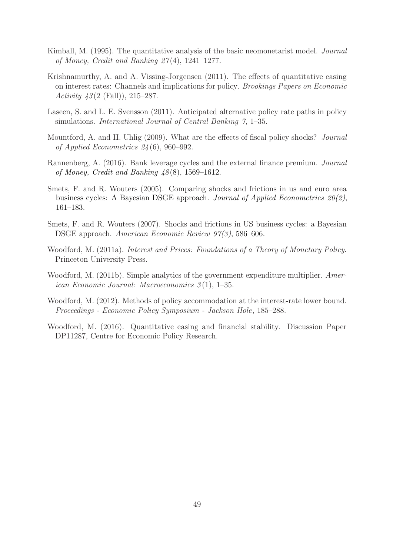- Kimball, M. (1995). The quantitative analysis of the basic neomonetarist model. Journal of Money, Credit and Banking  $27(4)$ , 1241–1277.
- Krishnamurthy, A. and A. Vissing-Jorgensen (2011). The effects of quantitative easing on interest rates: Channels and implications for policy. Brookings Papers on Economic Activity  $43(2 \text{ (Fall)}), 215-287.$
- Laseen, S. and L. E. Svensson (2011). Anticipated alternative policy rate paths in policy simulations. International Journal of Central Banking 7, 1–35.
- Mountford, A. and H. Uhlig (2009). What are the effects of fiscal policy shocks? Journal of Applied Econometrics 24 (6), 960–992.
- Rannenberg, A. (2016). Bank leverage cycles and the external finance premium. Journal of Money, Credit and Banking  $\frac{1}{8}(8)$ , 1569–1612.
- Smets, F. and R. Wouters (2005). Comparing shocks and frictions in us and euro area business cycles: A Bayesian DSGE approach. Journal of Applied Econometrics 20(2), 161–183.
- Smets, F. and R. Wouters (2007). Shocks and frictions in US business cycles: a Bayesian DSGE approach. American Economic Review 97(3) , 586–606.
- Woodford, M. (2011a). Interest and Prices: Foundations of a Theory of Monetary Policy. Princeton University Press.
- Woodford, M. (2011b). Simple analytics of the government expenditure multiplier. American Economic Journal: Macroeconomics  $3(1)$ , 1–35.
- Woodford, M. (2012). Methods of policy accommodation at the interest-rate lower bound. Proceedings - Economic Policy Symposium - Jackson Hole, 185–288.
- Woodford, M. (2016). Quantitative easing and financial stability. Discussion Paper DP11287, Centre for Economic Policy Research.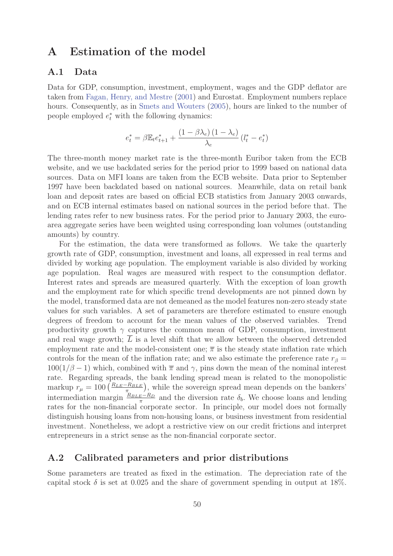# **A Estimation of the model**

### **A.1 Data**

Data for GDP, consumption, investment, employment, wages and the GDP deflator are taken from Fagan, Henry, and Mestre (2001) and Eurostat. Employment numbers replace hours. Consequently, as in Smets and Wouters (2005), hours are linked to the number of people employed  $e_t^*$  with the following dynamics:

$$
e_t^* = \beta \mathbb{E}_t e_{t+1}^* + \frac{\left(1-\beta \lambda_e\right)\left(1-\lambda_e\right)}{\lambda_e}\left(l_t^* - e_t^*\right)
$$

The three-month money market rate is the three-month Euribor taken from the ECB website, and we use backdated series for the period prior to 1999 based on national data sources. Data on MFI loans are taken from the ECB website. Data prior to September 1997 have been backdated based on national sources. Meanwhile, data on retail bank loan and deposit rates are based on official ECB statistics from January 2003 onwards, and on ECB internal estimates based on national sources in the period before that. The lending rates refer to new business rates. For the period prior to January 2003, the euroarea aggregate series have been weighted using corresponding loan volumes (outstanding amounts) by country.

For the estimation, the data were transformed as follows. We take the quarterly growth rate of GDP, consumption, investment and loans, all expressed in real terms and divided by working age population. The employment variable is also divided by working age population. Real wages are measured with respect to the consumption deflator. Interest rates and spreads are measured quarterly. With the exception of loan growth and the employment rate for which specific trend developments are not pinned down by the model, transformed data are not demeaned as the model features non-zero steady state values for such variables. A set of parameters are therefore estimated to ensure enough degrees of freedom to account for the mean values of the observed variables. Trend productivity growth  $\gamma$  captures the common mean of GDP, consumption, investment and real wage growth;  $\overline{L}$  is a level shift that we allow between the observed detrended employment rate and the model-consistent one;  $\bar{\pi}$  is the steady state inflation rate which controls for the mean of the inflation rate; and we also estimate the preference rate  $r_\beta =$  $100(1/\beta - 1)$  which, combined with  $\bar{\pi}$  and  $\gamma$ , pins down the mean of the nominal interest rate. Regarding spreads, the bank lending spread mean is related to the monopolistic markup  $r_{\mu} = 100 \left( \frac{R_{LE}-R_{BLE}}{\pi} \right)$ , while the sovereign spread mean depends on the bankers' intermediation margin  $\frac{R_{BLE}-R_D}{\pi}$  and the diversion rate  $\delta_b$ . We choose loans and lending<br>rates for the non-financial corporate sector. In principle, our model does not formally rates for the non-financial corporate sector. In principle, our model does not formally distinguish housing loans from non-housing loans, or business investment from residential investment. Nonetheless, we adopt a restrictive view on our credit frictions and interpret entrepreneurs in a strict sense as the non-financial corporate sector.

### **A.2 Calibrated parameters and prior distributions**

Some parameters are treated as fixed in the estimation. The depreciation rate of the capital stock  $\delta$  is set at 0.025 and the share of government spending in output at 18%.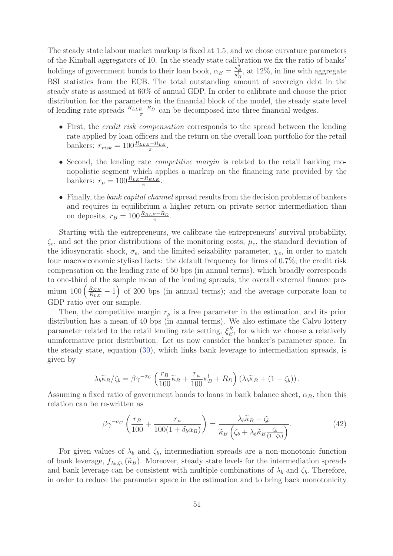The steady state labour market markup is fixed at 1.5, and we chose curvature parameters of the Kimball aggregators of 10. In the steady state calibration we fix the ratio of banks' holdings of government bonds to their loan book,  $\alpha_B = \frac{\kappa_B^B}{\kappa_B^L}$ B BSI statistics from the ECB. The total outstanding amount of sovereign debt in the , at 12%, in line with aggregate steady state is assumed at 60% of annual GDP. In order to calibrate and choose the prior distribution for the parameters in the financial block of the model, the steady state level of lending rate spreads  $\frac{R_{LLE}-R_D}{\pi}$  can be decomposed into three financial wedges.

- First, the *credit risk compensation* corresponds to the spread between the lending rate applied by loan officers and the return on the overall loan portfolio for the retail bankers:  $r_{risk} = 100 \frac{R_{LLE} - R_{LE}}{\pi}$ .
- Second, the lending rate *competitive margin* is related to the retail banking monopolistic segment which applies a markup on the financing rate provided by the bankers:  $r_{\mu} = 100 \frac{R_{LE} - R_{BLE}}{\pi}$ .
- Finally, the bank capital channel spread results from the decision problems of bankers and requires in equilibrium a higher return on private sector intermediation than on deposits,  $r_B = 100 \frac{R_{BLE} - R_D}{\pi}$ .

Starting with the entrepreneurs, we calibrate the entrepreneurs' survival probability,  $\zeta_e$ , and set the prior distributions of the monitoring costs,  $\mu_e$ , the standard deviation of the idiosyncratic shock,  $\sigma_e$ , and the limited seizability parameter,  $\chi_e$ , in order to match four macroeconomic stylised facts: the default frequency for firms of 0.7%; the credit risk compensation on the lending rate of 50 bps (in annual terms), which broadly corresponds to one-third of the sample mean of the lending spreads; the overall external finance premium 100  $\left(\frac{R_{KK}}{R_{LE}} - 1\right)$  of 200 bps (in annual terms); and the average corporate loan to GDP ratio over our sample.

Then, the competitive margin  $r_{\mu}$  is a free parameter in the estimation, and its prior distribution has a mean of 40 bps (in annual terms). We also estimate the Calvo lottery parameter related to the retail lending rate setting,  $\xi_E^R$ , for which we choose a relatively<br>uniformative prior distribution. Let us now consider the banks is parameter space. In uninformative prior distribution. Let us now consider the banker's parameter space. In the steady state, equation (30), which links bank leverage to intermediation spreads, is given by

$$
\lambda_b \widetilde{\kappa}_B / \zeta_b = \beta \gamma^{-\sigma_C} \left( \frac{r_B}{100} \widetilde{\kappa}_B + \frac{r_\mu}{100} \kappa_B^l + R_D \right) \left( \lambda_b \widetilde{\kappa}_B + (1 - \zeta_b) \right).
$$

Assuming a fixed ratio of government bonds to loans in bank balance sheet,  $\alpha_B$ , then this relation can be re-written as

$$
\beta \gamma^{-\sigma_C} \left( \frac{r_B}{100} + \frac{r_\mu}{100(1 + \delta_b \alpha_B)} \right) = \frac{\lambda_b \widetilde{\kappa}_B - \zeta_b}{\widetilde{\kappa}_B \left( \zeta_b + \lambda_b \widetilde{\kappa}_B \frac{\zeta_b}{(1 - \zeta_b)} \right)}.
$$
(42)

For given values of  $\lambda_b$  and  $\zeta_b$ , intermediation spreads are a non-monotonic function of bank leverage,  $f_{\lambda_b,\zeta_b}(\widetilde{\kappa}_B)$ . Moreover, steady state levels for the intermediation spreads and bank leverage can be consistent with multiple combinations of  $\lambda_b$  and  $\zeta_b$ . Therefore, in order to reduce the parameter space in the estimation and to bring back monotonicity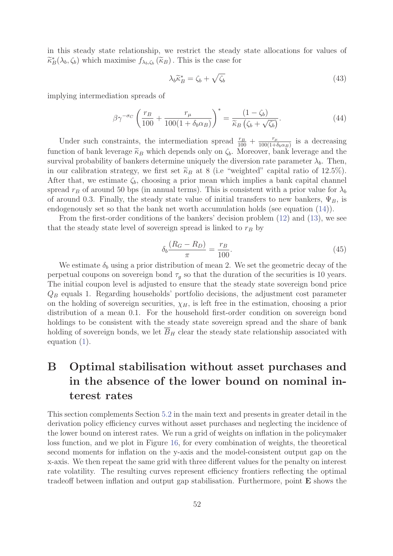in this steady state relationship, we restrict the steady state allocations for values of  $\widetilde{\kappa}_B^*(\lambda_b, \zeta_b)$  which maximise  $f_{\lambda_b, \zeta_b}(\widetilde{\kappa}_B)$ . This is the case for

$$
\lambda_b \widetilde{\kappa}_B^* = \zeta_b + \sqrt{\zeta_b} \tag{43}
$$

implying intermediation spreads of

$$
\beta \gamma^{-\sigma_C} \left( \frac{r_B}{100} + \frac{r_\mu}{100(1 + \delta_b \alpha_B)} \right)^* = \frac{(1 - \zeta_b)}{\widetilde{\kappa}_B \left( \zeta_b + \sqrt{\zeta_b} \right)}.
$$
\n(44)

Under such constraints, the intermediation spread  $\frac{r_B}{100} + \frac{r_\mu}{100(1+\delta_b\alpha_B)}$  is a decreasing<br>tion of bank lowers  $\widetilde{\kappa}$ , which depends only on  $\zeta$ . Moreover, bank lowers and the function of bank leverage  $\widetilde{\kappa}_B$  which depends only on  $\zeta_b$ . Moreover, bank leverage and the survival probability of bankers determine uniquely the diversion rate parameter  $\lambda_b$ . Then, in our calibration strategy, we first set  $\tilde{\kappa}_B$  at 8 (i.e "weighted" capital ratio of 12.5%). After that, we estimate  $\zeta_b$ , choosing a prior mean which implies a bank capital channel spread  $r_B$  of around 50 bps (in annual terms). This is consistent with a prior value for  $\lambda_b$ of around 0.3. Finally, the steady state value of initial transfers to new bankers,  $\Psi_B$ , is endogenously set so that the bank net worth accumulation holds (see equation (14)).

From the first-order conditions of the bankers' decision problem (12) and (13), we see that the steady state level of sovereign spread is linked to  $r_B$  by

$$
\delta_b \frac{(R_G - R_D)}{\pi} = \frac{r_B}{100}.\tag{45}
$$

We estimate  $\delta_b$  using a prior distribution of mean 2. We set the geometric decay of the perpetual coupons on sovereign bond  $\tau<sub>q</sub>$  so that the duration of the securities is 10 years. The initial coupon level is adjusted to ensure that the steady state sovereign bond price  $Q_B$  equals 1. Regarding households' portfolio decisions, the adjustment cost parameter on the holding of sovereign securities,  $\chi_H$ , is left free in the estimation, choosing a prior distribution of a mean 0.1. For the household first-order condition on sovereign bond holdings to be consistent with the steady state sovereign spread and the share of bank holding of sovereign bonds, we let  $\overline{B}_H$  clear the steady state relationship associated with equation (1).

# **B Optimal stabilisation without asset purchases and in the absence of the lower bound on nominal interest rates**

This section complements Section 5.2 in the main text and presents in greater detail in the derivation policy efficiency curves without asset purchases and neglecting the incidence of the lower bound on interest rates. We run a grid of weights on inflation in the policymaker loss function, and we plot in Figure 16, for every combination of weights, the theoretical second moments for inflation on the y-axis and the model-consistent output gap on the x-axis. We then repeat the same grid with three different values for the penalty on interest rate volatility. The resulting curves represent efficiency frontiers reflecting the optimal tradeoff between inflation and output gap stabilisation. Furthermore, point **E** shows the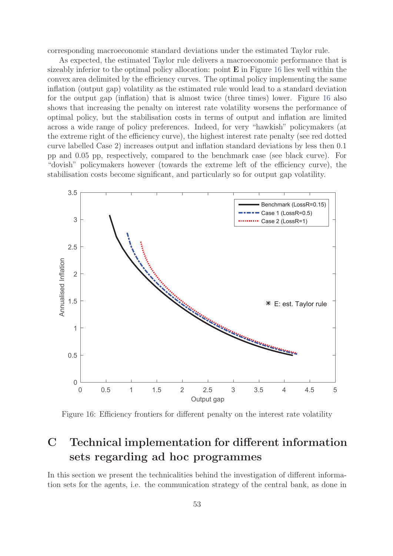corresponding macroeconomic standard deviations under the estimated Taylor rule.

As expected, the estimated Taylor rule delivers a macroeconomic performance that is sizeably inferior to the optimal policy allocation: point **E** in Figure 16 lies well within the convex area delimited by the efficiency curves. The optimal policy implementing the same inflation (output gap) volatility as the estimated rule would lead to a standard deviation for the output gap (inflation) that is almost twice (three times) lower. Figure 16 also shows that increasing the penalty on interest rate volatility worsens the performance of optimal policy, but the stabilisation costs in terms of output and inflation are limited across a wide range of policy preferences. Indeed, for very "hawkish" policymakers (at the extreme right of the efficiency curve), the highest interest rate penalty (see red dotted curve labelled Case 2) increases output and inflation standard deviations by less then 0.1 pp and 0.05 pp, respectively, compared to the benchmark case (see black curve). For "dovish" policymakers however (towards the extreme left of the efficiency curve), the stabilisation costs become significant, and particularly so for output gap volatility.



Figure 16: Efficiency frontiers for different penalty on the interest rate volatility

# **C Technical implementation for different information sets regarding ad hoc programmes**

In this section we present the technicalities behind the investigation of different information sets for the agents, i.e. the communication strategy of the central bank, as done in